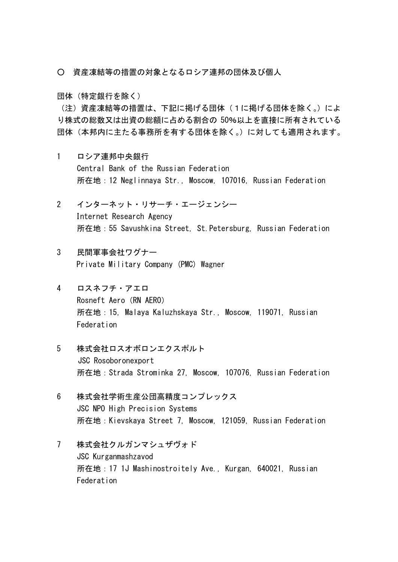- 資産凍結等の措置の対象となるロシア連邦の団体及び個人
- 団体(特定銀行を除く)

(注)資産凍結等の措置は、下記に掲げる団体(1に掲げる団体を除く。)によ り株式の総数又は出資の総額に占める割合の 50%以上を直接に所有されている 団体(本邦内に主たる事務所を有する団体を除く。)に対しても適用されます。

- 1 ロシア連邦中央銀行 Central Bank of the Russian Federation 所在地:12 Neglinnaya Str., Moscow, 107016, Russian Federation
- 2 インターネット・リサーチ・エージェンシー Internet Research Agency 所在地:55 Savushkina Street, St.Petersburg, Russian Federation
- 3 民間軍事会社ワグナー Private Military Company (PMC) Wagner
- 4 ロスネフチ・アエロ Rosneft Aero (RN AERO) 所在地:15, Malaya Kaluzhskaya Str., Moscow, 119071, Russian Federation
- 5 株式会社ロスオボロンエクスポルト JSC Rosoboronexport 所在地:Strada Strominka 27, Moscow, 107076, Russian Federation
- 6 株式会社学術生産公団高精度コンプレックス JSC NPO High Precision Systems 所在地:Kievskaya Street 7, Moscow, 121059, Russian Federation
- 7 株式会社クルガンマシュザヴォド JSC Kurganmashzavod 所在地:17 1J Mashinostroitely Ave., Kurgan, 640021, Russian Federation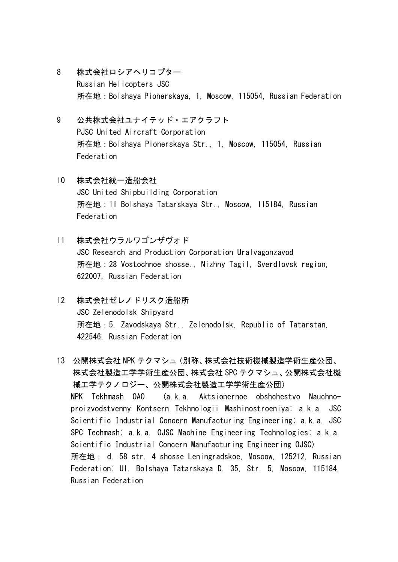- 8 株式会社ロシアヘリコプター Russian Helicopters JSC 所在地:Bolshaya Pionerskaya, 1, Moscow, 115054, Russian Federation
- 9 公共株式会社ユナイテッド・エアクラフト PJSC United Aircraft Corporation 所在地:Bolshaya Pionerskaya Str., 1, Moscow, 115054, Russian Federation
- 10 株式会社統一造船会社 JSC United Shipbuilding Corporation 所在地:11 Bolshaya Tatarskaya Str., Moscow, 115184, Russian Federation
- 11 株式会社ウラルワゴンザヴォド JSC Research and Production Corporation Uralvagonzavod 所在地:28 Vostochnoe shosse., Nizhny Tagil, Sverdlovsk region, 622007, Russian Federation
- 12 株式会社ゼレノドリスク造船所 JSC Zelenodolsk Shipyard 所在地:5, Zavodskaya Str., Zelenodolsk, Republic of Tatarstan, 422546, Russian Federation
- 13 公開株式会社 NPK テクマシュ(別称、株式会社技術機械製造学術生産公団、 株式会社製造工学学術生産公団、株式会社 SPC テクマシュ、公開株式会社機 械工学テクノロジー、公開株式会社製造工学学術生産公団) NPK Tekhmash OAO (a.k.a. Aktsionernoe obshchestvo Nauchnoproizvodstvenny Kontsern Tekhnologii Mashinostroeniya; a.k.a. JSC Scientific Industrial Concern Manufacturing Engineering; a.k.a. JSC SPC Techmash; a.k.a. OJSC Machine Engineering Technologies; a.k.a. Scientific Industrial Concern Manufacturing Engineering OJSC) 所在地: d. 58 str. 4 shosse Leningradskoe, Moscow, 125212, Russian Federation; Ul. Bolshaya Tatarskaya D. 35, Str. 5, Moscow, 115184, Russian Federation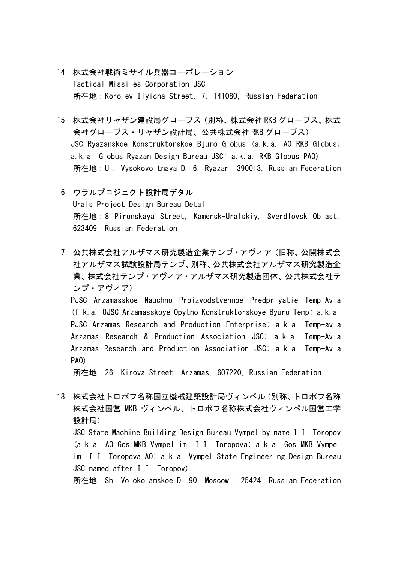- 14 株式会社戦術ミサイル兵器コーポレーション Tactical Missiles Corporation JSC 所在地:Korolev Ilyicha Street, 7, 141080, Russian Federation
- 15 株式会社リャザン建設局グローブス(別称、株式会社 RKB グローブス、株式 会社グローブス・リャザン設計局、公共株式会社 RKB グローブス) JSC Ryazanskoe Konstruktorskoe Bjuro Globus (a.k.a. AO RKB Globus; a.k.a. Globus Ryazan Design Bureau JSC; a.k.a. RKB Globus PAO) 所在地:Ul. Vysokovoltnaya D. 6, Ryazan, 390013, Russian Federation
- 16 ウラルプロジェクト設計局デタル Urals Project Design Bureau Detal 所在地:8 Pironskaya Street, Kamensk-Uralskiy, Sverdlovsk Oblast, 623409, Russian Federation
- 17 公共株式会社アルザマス研究製造企業テンプ・アヴィア(旧称、公開株式会 社アルザマス試験設計局テンプ、別称、公共株式会社アルザマス研究製造企 業、株式会社テンプ・アヴィア・アルザマス研究製造団体、公共株式会社テ ンプ・アヴィア) PJSC Arzamasskoe Nauchno Proizvodstvennoe Predpriyatie Temp-Avia (f.k.a. OJSC Arzamasskoye Opytno Konstruktorskoye Byuro Temp; a.k.a. PJSC Arzamas Research and Production Enterprise; a.k.a. Temp-avia Arzamas Research & Production Association JSC; a.k.a. Temp-Avia Arzamas Research and Production Association JSC; a.k.a. Temp-Avia PAO)

所在地:26, Kirova Street, Arzamas, 607220, Russian Federation

18 株式会社トロポフ名称国立機械建築設計局ヴィンペル(別称、トロポフ名称 株式会社国営 MKB ヴィンペル、トロポフ名称株式会社ヴィンペル国営工学 設計局) JSC State Machine Building Design Bureau Vympel by name I.I. Toropov (a.k.a. AO Gos MKB Vympel im. I.I. Toropova; a.k.a. Gos MKB Vympel im. I.I. Toropova AO; a.k.a. Vympel State Engineering Design Bureau JSC named after I.I. Toropov) 所在地:Sh. Volokolamskoe D. 90, Moscow, 125424, Russian Federation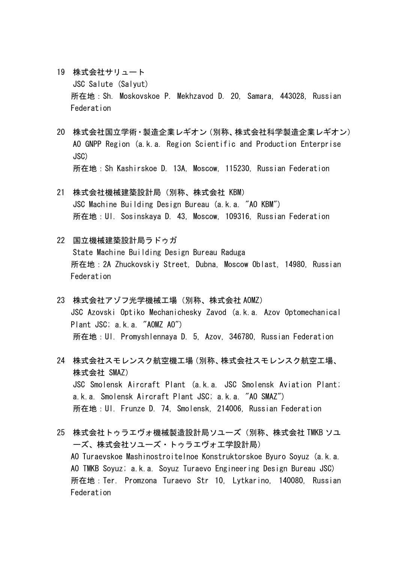- 19 株式会社サリュート JSC Salute (Salyut) 所在地:Sh. Moskovskoe P. Mekhzavod D. 20, Samara, 443028, Russian Federation
- 20 株式会社国立学術・製造企業レギオン(別称、株式会社科学製造企業レギオン) AO GNPP Region (a.k.a. Region Scientific and Production Enterprise JSC) 所在地:Sh Kashirskoe D. 13A, Moscow, 115230, Russian Federation
- 21 株式会社機械建築設計局(別称、株式会社 KBM) JSC Machine Building Design Bureau (a.k.a. "AO KBM") 所在地:Ul. Sosinskaya D. 43, Moscow, 109316, Russian Federation
- 22 国立機械建築設計局ラドゥガ State Machine Building Design Bureau Raduga 所在地:2A Zhuckovskiy Street, Dubna, Moscow Oblast, 14980, Russian Federation
- 23 株式会社アゾフ光学機械工場(別称、株式会社 AOMZ) JSC Azovski Optiko Mechanichesky Zavod (a.k.a. Azov Optomechanical Plant JSC; a.k.a. "AOMZ AO") 所在地:Ul. Promyshlennaya D. 5, Azov, 346780, Russian Federation
- 24 株式会社スモレンスク航空機工場(別称、株式会社スモレンスク航空工場、 株式会社 SMAZ) JSC Smolensk Aircraft Plant (a.k.a. JSC Smolensk Aviation Plant; a.k.a. Smolensk Aircraft Plant JSC; a.k.a. "AO SMAZ") 所在地:Ul. Frunze D. 74, Smolensk, 214006, Russian Federation
- 25 株式会社トゥラエヴォ機械製造設計局ソユーズ(別称、株式会社 TMKB ソユ ーズ、株式会社ソユーズ・トゥラエヴォ工学設計局) AO Turaevskoe Mashinostroitelnoe Konstruktorskoe Byuro Soyuz (a.k.a. AO TMKB Soyuz; a.k.a. Soyuz Turaevo Engineering Design Bureau JSC) 所在地:Ter. Promzona Turaevo Str 10, Lytkarino, 140080, Russian Federation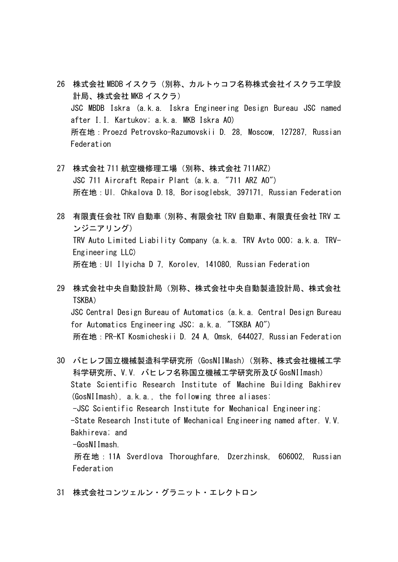- 26 株式会社 MBDB イスクラ(別称、カルトゥコフ名称株式会社イスクラ工学設 計局、株式会社 MKB イスクラ) JSC MBDB Iskra (a.k.a. Iskra Engineering Design Bureau JSC named after I.I. Kartukov; a.k.a. MKB Iskra AO) 所在地:Proezd Petrovsko-Razumovskii D. 28, Moscow, 127287, Russian Federation
- 27 株式会社 711 航空機修理工場(別称、株式会社 711ARZ) JSC 711 Aircraft Repair Plant (a.k.a. "711 ARZ AO") 所在地:Ul. Chkalova D.18, Borisoglebsk, 397171, Russian Federation
- 28 有限責任会社 TRV 自動車(別称、有限会社 TRV 自動車、有限責任会社 TRV エ ンジニアリング) TRV Auto Limited Liability Company (a.k.a. TRV Avto OOO; a.k.a. TRV-Engineering LLC) 所在地:Ul Ilyicha D 7, Korolev, 141080, Russian Federation
- 29 株式会社中央自動設計局(別称、株式会社中央自動製造設計局、株式会社 TSKBA) JSC Central Design Bureau of Automatics (a.k.a. Central Design Bureau for Automatics Engineering JSC; a.k.a. "TSKBA AO") 所在地:PR-KT Kosmicheskii D. 24 A, Omsk, 644027, Russian Federation
- 30 バヒレフ国立機械製造科学研究所(GosNIIMash)(別称、株式会社機械工学 科学研究所、V.V. バヒレフ名称国立機械工学研究所及び GosNIImash) State Scientific Research Institute of Machine Building Bakhirev (GosNIImash), a.k.a., the following three aliases: -JSC Scientific Research Institute for Mechanical Engineering; -State Research Institute of Mechanical Engineering named after. V.V. Bakhireva; and -GosNIImash.

 所在地:11A Sverdlova Thoroughfare, Dzerzhinsk, 606002, Russian Federation

31 株式会社コンツェルン・グラニット・エレクトロン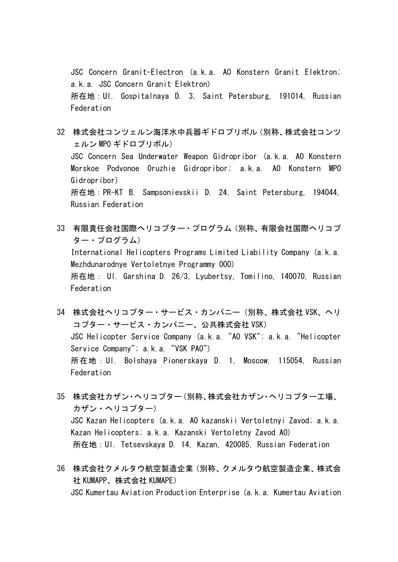JSC Concern Granit-Electron (a.k.a. AO Konstern Granit Elektron; a.k.a. JSC Concern Granit Elektron) 所在地:Ul. Gospitalnaya D. 3, Saint Petersburg, 191014, Russian Federation

- 32 株式会社コンツェルン海洋水中兵器ギドロプリボル(別称、株式会社コンツ ェルン MPO ギドロプリボル) JSC Concern Sea Underwater Weapon Gidropribor (a.k.a. AO Konstern Morskoe Podvonoe Oruzhie Gidropribor; a.k.a. AO Konstern MPO Gidropribor) 所在地:PR-KT B. Sampsonievskii D. 24, Saint Petersburg, 194044, Russian Federation
- 33 有限責任会社国際ヘリコプター・プログラム(別称、有限会社国際ヘリコプ ター・プログラム) International Helicopters Programs Limited Liability Company (a.k.a. Mezhdunarodnye Vertoletnye Programmy OOO) 所在地: Ul. Garshina D. 26/3, Lyubertsy, Tomilino, 140070, Russian Federation
- 34 株式会社ヘリコプター・サービス・カンパニー(別称、株式会社 VSK、ヘリ コプター・サービス・カンパニー、公共株式会社 VSK) JSC Helicopter Service Company (a.k.a. "AO VSK"; a.k.a. "Helicopter Service Company"; a.k.a. "VSK PAO") 所在地:Ul. Bolshaya Pionerskaya D. 1, Moscow, 115054, Russian Federation
- 35 株式会社カザン・ヘリコプター(別称、株式会社カザン・ヘリコプター工場、 カザン・ヘリコプター) JSC Kazan Helicopters (a.k.a. AO kazanskii Vertoletnyi Zavod; a.k.a. Kazan Helicopters; a.k.a. Kazanski Vertoletny Zavod AO) 所在地:Ul. Tetsevskaya D. 14, Kazan, 420085, Russian Federation
- 36 株式会社クメルタウ航空製造企業(別称、クメルタウ航空製造企業、株式会 社 KUMAPP、株式会社 KUMAPE) JSC Kumertau Aviation Production Enterprise (a.k.a. Kumertau Aviation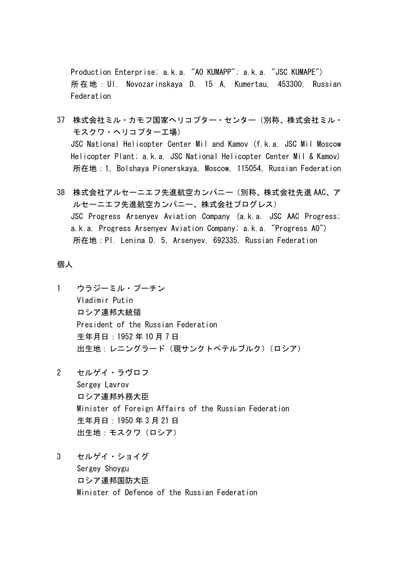Production Enterprise; a.k.a. "AO KUMAPP"; a.k.a. "JSC KUMAPE") 所在地:Ul. Novozarinskaya D. 15 A, Kumertau, 453300, Russian Federation

- 37 株式会社ミル・カモフ国家ヘリコプター・センター(別称、株式会社ミル・ モスクワ・ヘリコプター工場) JSC National Helicopter Center Mil and Kamov (f.k.a. JSC Mil Moscow Helicopter Plant; a.k.a. JSC National Helicopter Center Mil & Kamov) 所在地:1, Bolshaya Pionerskaya, Moscow, 115054, Russian Federation
- 38 株式会社アルセーニエフ先進航空カンパニー(別称、株式会社先進 AAC、ア ルセーニエフ先進航空カンパニー、株式会社プログレス) JSC Progress Arsenyev Aviation Company (a.k.a. JSC AAC Progress; a.k.a. Progress Arsenyev Aviation Company; a.k.a. "Progress AO") 所在地:Pl. Lenina D. 5, Arsenyev, 692335, Russian Federation

## 個人

- 1 ウラジーミル・プーチン Vladimir Putin ロシア連邦大統領 President of the Russian Federation 生年月日:1952 年 10 月 7 日 出生地:レニングラード(現サンクトペテルブルク)(ロシア)
- 2 セルゲイ・ラヴロフ Sergey Lavrov ロシア連邦外務大臣 Minister of Foreign Affairs of the Russian Federation 生年月日:1950 年 3 月 21 日 出生地:モスクワ(ロシア)
- 3 セルゲイ・ショイグ Sergey Shoygu ロシア連邦国防大臣 Minister of Defence of the Russian Federation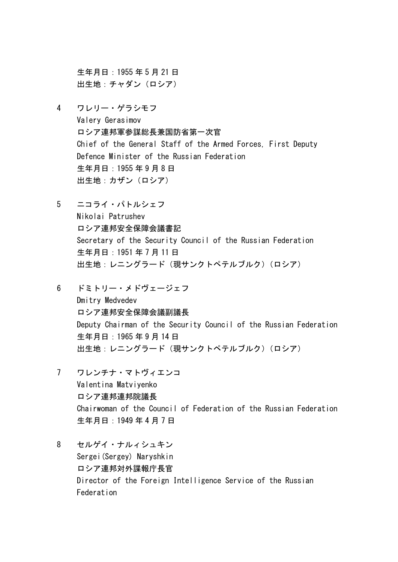生年月日:1955 年 5 月 21 日 出生地:チャダン(ロシア)

- 4 ワレリー・ゲラシモフ Valery Gerasimov ロシア連邦軍参謀総長兼国防省第一次官 Chief of the General Staff of the Armed Forces, First Deputy Defence Minister of the Russian Federation 生年月日:1955 年 9 月 8 日 出生地:カザン(ロシア)
- 5 ニコライ・パトルシェフ Nikolai Patrushev ロシア連邦安全保障会議書記 Secretary of the Security Council of the Russian Federation 生年月日:1951 年 7 月 11 日 出生地:レニングラード(現サンクトペテルブルク)(ロシア)
- 6 ドミトリー・メドヴェージェフ Dmitry Medvedev ロシア連邦安全保障会議副議長 Deputy Chairman of the Security Council of the Russian Federation 生年月日:1965 年 9 月 14 日 出生地:レニングラード(現サンクトペテルブルク)(ロシア)
- 7 ワレンチナ・マトヴィエンコ Valentina Matviyenko ロシア連邦連邦院議長 Chairwoman of the Council of Federation of the Russian Federation 生年月日:1949 年 4 月 7 日
- 8 セルゲイ・ナルィシュキン Sergei(Sergey) Naryshkin ロシア連邦対外諜報庁長官 Director of the Foreign Intelligence Service of the Russian Federation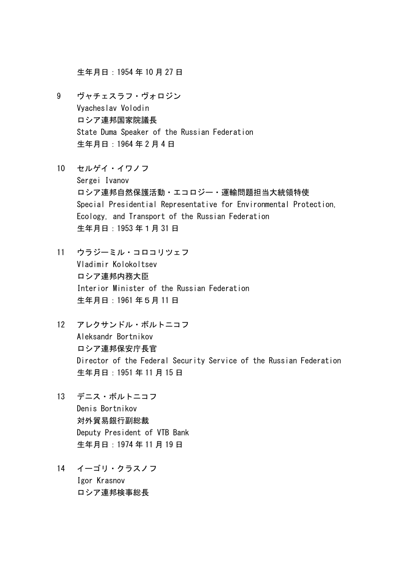生年月日:1954 年 10 月 27 日

- 9 ヴャチェスラフ・ヴォロジン Vyacheslav Volodin ロシア連邦国家院議長 State Duma Speaker of the Russian Federation 生年月日:1964 年 2 月 4 日
- 10 セルゲイ・イワノフ Sergei Ivanov ロシア連邦自然保護活動・エコロジー・運輸問題担当大統領特使 Special Presidential Representative for Environmental Protection, Ecology, and Transport of the Russian Federation 生年月日:1953 年1月 31 日
- 11 ウラジーミル・コロコリツェフ Vladimir Kolokoltsev ロシア連邦内務大臣 Interior Minister of the Russian Federation 生年月日:1961 年5月 11 日
- 12 アレクサンドル・ボルトニコフ Aleksandr Bortnikov ロシア連邦保安庁長官 Director of the Federal Security Service of the Russian Federation 生年月日:1951 年 11 月 15 日
- 13 デニス・ボルトニコフ Denis Bortnikov 対外貿易銀行副総裁 Deputy President of VTB Bank 生年月日:1974 年 11 月 19 日
- 14 イーゴリ・クラスノフ Igor Krasnov ロシア連邦検事総長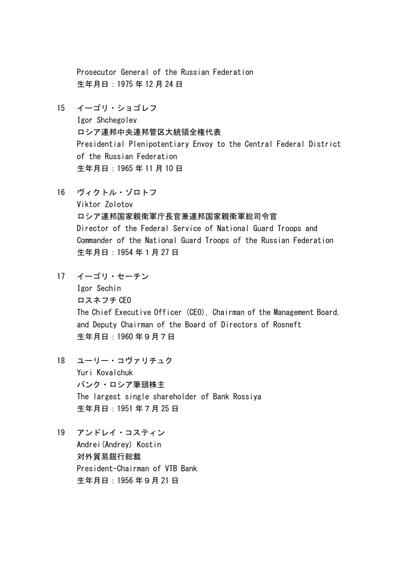Prosecutor General of the Russian Federation 生年月日:1975 年 12 月 24 日

- 15 イーゴリ・ショゴレフ Igor Shchegolev ロシア連邦中央連邦管区大統領全権代表 Presidential Plenipotentiary Envoy to the Central Federal District of the Russian Federation 生年月日:1965 年 11 月 10 日
- 16 ヴィクトル・ゾロトフ Viktor Zolotov ロシア連邦国家親衛軍庁長官兼連邦国家親衛軍総司令官 Director of the Federal Service of National Guard Troops and Commander of the National Guard Troops of the Russian Federation 生年月日:1954 年1月 27 日
- 17 イーゴリ・セーチン Igor Sechin ロスネフチ CEO The Chief Executive Officer (CEO), Chairman of the Management Board, and Deputy Chairman of the Board of Directors of Rosneft 生年月日:1960 年9月7日
- 18 ユーリー・コヴァリチュク Yuri Kovalchuk バンク・ロシア筆頭株主 The largest single shareholder of Bank Rossiya 生年月日:1951 年7月 25 日
- 19 アンドレイ・コスティン Andrei(Andrey) Kostin 対外貿易銀行総裁 President-Chairman of VTB Bank 生年月日:1956 年9月 21 日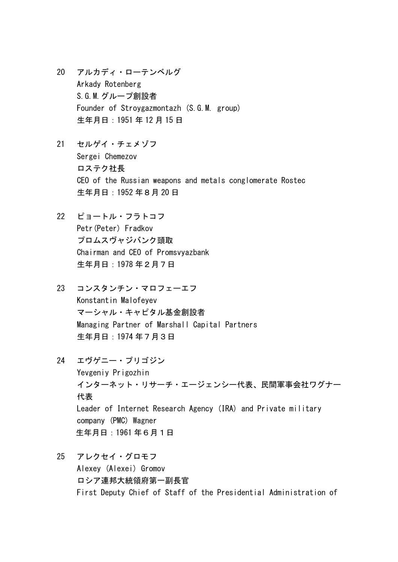- 20 アルカディ・ローテンベルグ Arkady Rotenberg S.G.M.グループ創設者 Founder of Stroygazmontazh (S.G.M. group) 生年月日:1951 年 12 月 15 日
- 21 セルゲイ・チェメゾフ Sergei Chemezov ロステク社長 CEO of the Russian weapons and metals conglomerate Rostec 生年月日:1952 年8月 20 日
- 22 ピョートル・フラトコフ Petr(Peter) Fradkov プロムスヴャジバンク頭取 Chairman and CEO of Promsvyazbank 生年月日:1978 年2月7日
- 23 コンスタンチン・マロフェーエフ Konstantin Malofeyev マーシャル・キャピタル基金創設者 Managing Partner of Marshall Capital Partners 生年月日:1974 年7月3日
- 24 エヴゲニー・プリゴジン Yevgeniy Prigozhin インターネット・リサーチ・エージェンシー代表、民間軍事会社ワグナー 代表 Leader of Internet Research Agency (IRA) and Private military company (PMC) Wagner 生年月日:1961 年6月1日
- 25 アレクセイ・グロモフ Alexey (Alexei) Gromov ロシア連邦大統領府第一副長官 First Deputy Chief of Staff of the Presidential Administration of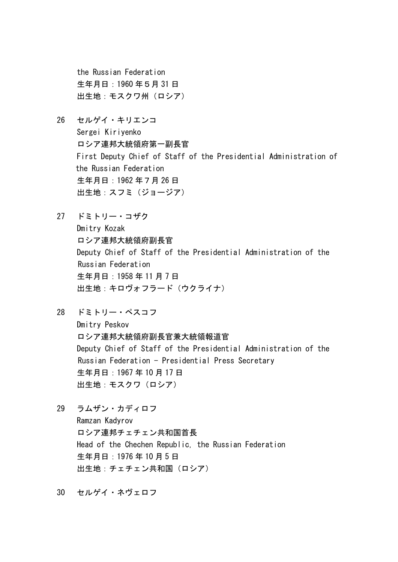the Russian Federation 生年月日:1960 年5月 31 日 出生地:モスクワ州(ロシア)

- 26 セルゲイ・キリエンコ Sergei Kiriyenko ロシア連邦大統領府第一副長官 First Deputy Chief of Staff of the Presidential Administration of the Russian Federation 生年月日:1962 年7月 26 日 出生地:スフミ(ジョージア)
- 27 ドミトリー・コザク Dmitry Kozak ロシア連邦大統領府副長官 Deputy Chief of Staff of the Presidential Administration of the Russian Federation 生年月日:1958 年 11 月 7 日 出生地:キロヴォフラード(ウクライナ)
- 28 ドミトリー・ペスコフ Dmitry Peskov ロシア連邦大統領府副長官兼大統領報道官 Deputy Chief of Staff of the Presidential Administration of the Russian Federation - Presidential Press Secretary 生年月日:1967 年 10 月 17 日 出生地:モスクワ(ロシア)
- 29 ラムザン・カディロフ Ramzan Kadyrov ロシア連邦チェチェン共和国首長 Head of the Chechen Republic, the Russian Federation 生年月日:1976 年 10 月 5 日 出生地:チェチェン共和国(ロシア)
- 30 セルゲイ・ネヴェロフ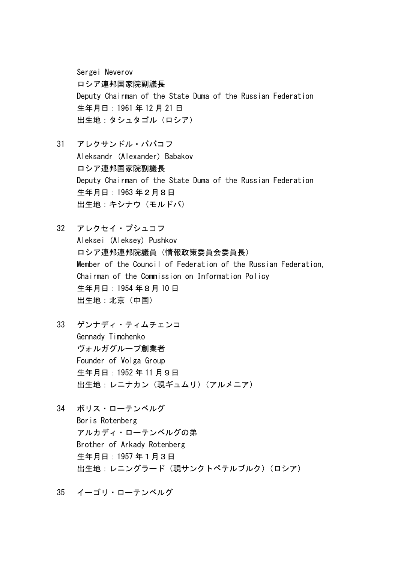Sergei Neverov ロシア連邦国家院副議長 Deputy Chairman of the State Duma of the Russian Federation 生年月日:1961 年 12 月 21 日 出生地:タシュタゴル(ロシア)

- 31 アレクサンドル・ババコフ Aleksandr (Alexander) Babakov ロシア連邦国家院副議長 Deputy Chairman of the State Duma of the Russian Federation 生年月日:1963 年2月8日 出生地:キシナウ(モルドバ)
- 32 アレクセイ・プシュコフ Aleksei (Aleksey) Pushkov ロシア連邦連邦院議員(情報政策委員会委員長) Member of the Council of Federation of the Russian Federation, Chairman of the Commission on Information Policy 生年月日:1954 年8月 10 日 出生地:北京(中国)
- 33 ゲンナディ・ティムチェンコ Gennady Timchenko ヴォルガグループ創業者 Founder of Volga Group 生年月日:1952 年 11 月9日 出生地:レニナカン(現ギュムリ)(アルメニア)
- 34 ボリス・ローテンベルグ Boris Rotenberg アルカディ・ローテンベルグの弟 Brother of Arkady Rotenberg 生年月日:1957 年1月3日 出生地:レニングラード(現サンクトペテルブルク)(ロシア)

35 イーゴリ・ローテンベルグ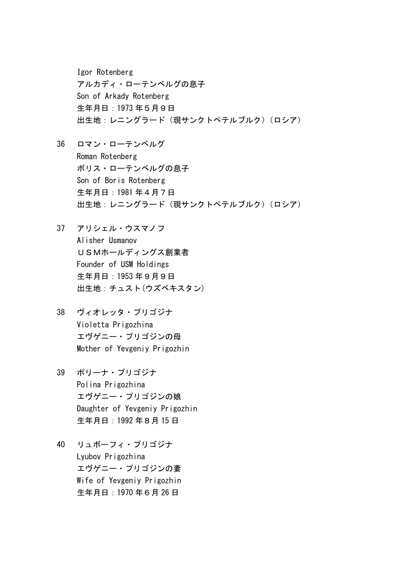Igor Rotenberg アルカディ・ローテンベルグの息子 Son of Arkady Rotenberg 生年月日:1973 年5月9日 出生地:レニングラード(現サンクトペテルブルク)(ロシア)

- 36 ロマン・ローテンベルグ Roman Rotenberg ボリス・ローテンベルグの息子 Son of Boris Rotenberg 生年月日:1981 年4月7日 出生地:レニングラード(現サンクトペテルブルク)(ロシア)
- 37 アリシェル・ウスマノフ Alisher Usmanov USMホールディングス創業者 Founder of USM Holdings 生年月日:1953 年9月9日 出生地:チュスト(ウズベキスタン)
- 38 ヴィオレッタ・プリゴジナ Violetta Prigozhina エヴゲニー・プリゴジンの母 Mother of Yevgeniy Prigozhin
- 39 ポリーナ・プリゴジナ Polina Prigozhina エヴゲニー・プリゴジンの娘 Daughter of Yevgeniy Prigozhin 生年月日:1992 年8月 15 日
- 40 リュボーフィ・プリゴジナ Lyubov Prigozhina エヴゲニー・プリゴジンの妻 Wife of Yevgeniy Prigozhin 生年月日:1970 年6月 26 日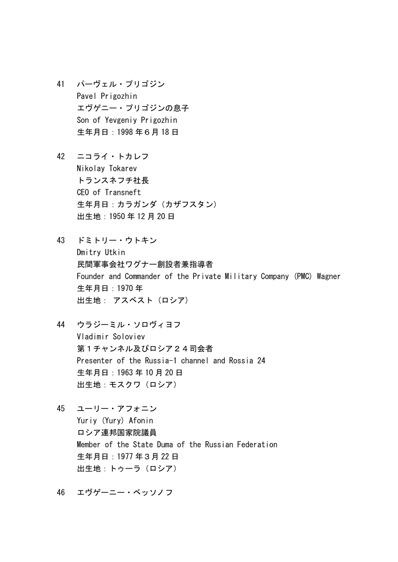- 41 パーヴェル・プリゴジン Pavel Prigozhin エヴゲニー・プリゴジンの息子 Son of Yevgeniy Prigozhin 生年月日:1998 年6月 18 日
- 42 ニコライ・トカレフ Nikolay Tokarev トランスネフチ社長 CEO of Transneft 生年月日:カラガンダ(カザフスタン) 出生地:1950 年 12 月 20 日
- 43 ドミトリー・ウトキン Dmitry Utkin 民間軍事会社ワグナー創設者兼指導者 Founder and Commander of the Private Military Company (PMC) Wagner 生年月日:1970 年 出生地: アスベスト (ロシア)
- 44 ウラジーミル・ソロヴィヨフ Vladimir Soloviev 第1チャンネル及びロシア24司会者 Presenter of the Russia-1 channel and Rossia 24 生年月日:1963 年 10 月 20 日 出生地:モスクワ(ロシア)
- 45 ユーリー・アフォニン Yuriy (Yury) Afonin ロシア連邦国家院議員 Member of the State Duma of the Russian Federation 生年月日:1977 年3月 22 日 出生地:トゥーラ(ロシア)
- 46 エヴゲーニー・ベッソノフ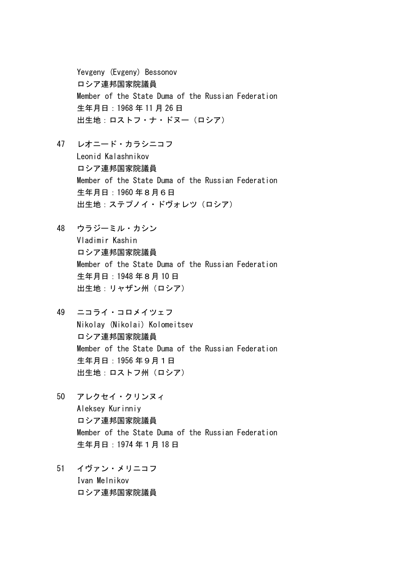Yevgeny (Evgeny) Bessonov ロシア連邦国家院議員 Member of the State Duma of the Russian Federation 生年月日:1968 年 11 月 26 日 出生地:ロストフ・ナ・ドヌー(ロシア)

- 47 レオニード・カラシニコフ Leonid Kalashnikov ロシア連邦国家院議員 Member of the State Duma of the Russian Federation 生年月日:1960 年8月6日 出生地:ステプノイ・ドヴォレツ(ロシア)
- 48 ウラジーミル・カシン Vladimir Kashin ロシア連邦国家院議員 Member of the State Duma of the Russian Federation 生年月日:1948 年8月 10 日 出生地:リャザン州(ロシア)
- 49 ニコライ・コロメイツェフ Nikolay (Nikolai) Kolomeitsev ロシア連邦国家院議員 Member of the State Duma of the Russian Federation 生年月日:1956 年9月1日 出生地:ロストフ州 (ロシア)
- 50 アレクセイ・クリンヌィ Aleksey Kurinniy ロシア連邦国家院議員 Member of the State Duma of the Russian Federation 生年月日:1974 年1月 18 日
- 51 イヴァン・メリニコフ Ivan Melnikov ロシア連邦国家院議員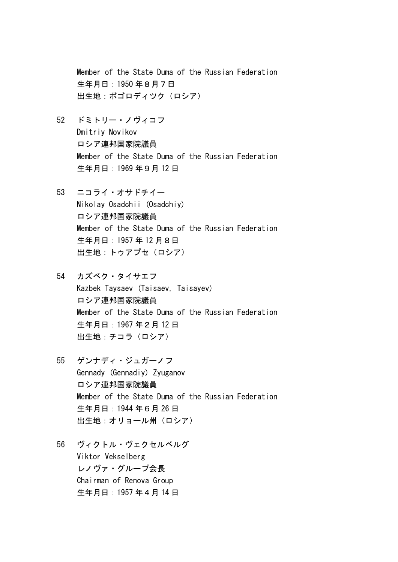Member of the State Duma of the Russian Federation 生年月日:1950 年8月7日 出生地:ボゴロディツク(ロシア)

- 52 ドミトリー・ノヴィコフ Dmitriy Novikov ロシア連邦国家院議員 Member of the State Duma of the Russian Federation 生年月日:1969 年9月 12 日
- 53 ニコライ・オサドチイー Nikolay Osadchii (Osadchiy) ロシア連邦国家院議員 Member of the State Duma of the Russian Federation 生年月日:1957 年 12 月8日 出生地:トゥアプセ(ロシア)
- 54 カズベク・タイサエフ Kazbek Taysaev (Taisaev, Taisayev) ロシア連邦国家院議員 Member of the State Duma of the Russian Federation 生年月日:1967 年2月 12 日 出生地:チコラ(ロシア)
- 55 ゲンナディ・ジュガーノフ Gennady (Gennadiy) Zyuganov ロシア連邦国家院議員 Member of the State Duma of the Russian Federation 生年月日:1944 年6月 26 日 出生地:オリョール州(ロシア)
- 56 ヴィクトル・ヴェクセルベルグ Viktor Vekselberg レノヴァ・グループ会長 Chairman of Renova Group 生年月日:1957 年4月 14 日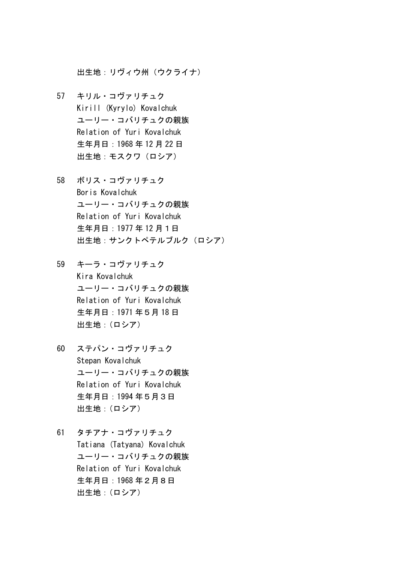出生地:リヴィウ州(ウクライナ)

- 57 キリル・コヴァリチュク Kirill (Kyrylo) Kovalchuk ユーリー・コバリチュクの親族 Relation of Yuri Kovalchuk 生年月日:1968 年 12 月 22 日 出生地:モスクワ(ロシア)
- 58 ボリス・コヴァリチュク Boris Kovalchuk ユーリー・コバリチュクの親族 Relation of Yuri Kovalchuk 生年月日:1977 年 12 月1日 出生地:サンクトペテルブルク(ロシア)
- 59 キーラ・コヴァリチュク Kira Kovalchuk ユーリー・コバリチュクの親族 Relation of Yuri Kovalchuk 生年月日:1971 年5月 18 日 出生地:(ロシア)
- 60 ステパン・コヴァリチュク Stepan Kovalchuk ユーリー・コバリチュクの親族 Relation of Yuri Kovalchuk 生年月日:1994 年5月3日 出生地:(ロシア)
- 61 タチアナ・コヴァリチュク Tatiana (Tatyana) Kovalchuk ユーリー・コバリチュクの親族 Relation of Yuri Kovalchuk 生年月日:1968 年2月8日 出生地:(ロシア)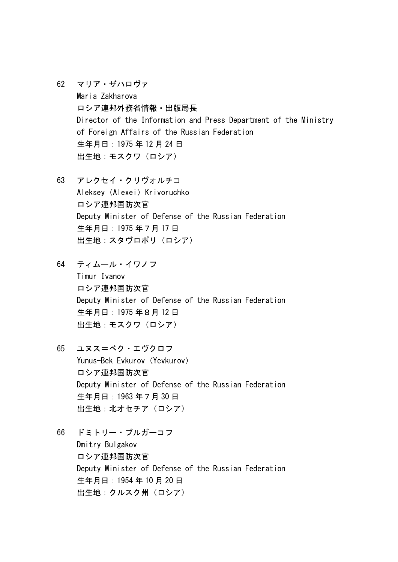- 62 マリア・ザハロヴァ Maria Zakharova ロシア連邦外務省情報・出版局長 Director of the Information and Press Department of the Ministry of Foreign Affairs of the Russian Federation 生年月日:1975 年 12 月 24 日 出生地:モスクワ(ロシア)
- 63 アレクセイ・クリヴォルチコ Aleksey (Alexei) Krivoruchko ロシア連邦国防次官 Deputy Minister of Defense of the Russian Federation 生年月日:1975 年7月 17 日 出生地:スタヴロポリ(ロシア)
- 64 ティムール・イワノフ Timur Ivanov ロシア連邦国防次官 Deputy Minister of Defense of the Russian Federation 生年月日:1975 年8月 12 日 出生地:モスクワ(ロシア)
- 65 ユヌス=ベク・エヴクロフ Yunus-Bek Evkurov (Yevkurov) ロシア連邦国防次官 Deputy Minister of Defense of the Russian Federation 生年月日:1963 年7月 30 日 出生地:北オセチア(ロシア)
- 66 ドミトリー・ブルガーコフ Dmitry Bulgakov ロシア連邦国防次官 Deputy Minister of Defense of the Russian Federation 生年月日:1954 年 10 月 20 日 出生地:クルスク州(ロシア)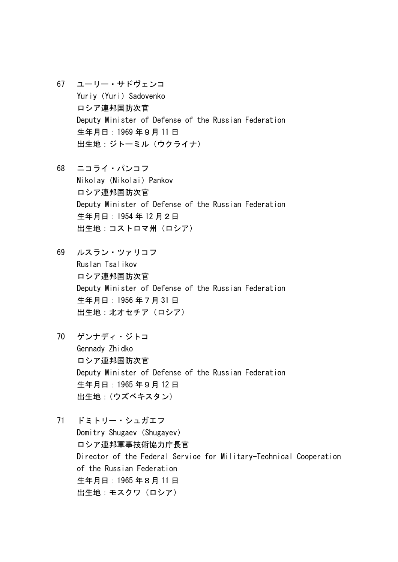- 67 ユーリー・サドヴェンコ Yuriy (Yuri) Sadovenko ロシア連邦国防次官 Deputy Minister of Defense of the Russian Federation 生年月日:1969 年9月 11 日 出生地:ジトーミル(ウクライナ)
- 68 ニコライ・パンコフ Nikolay (Nikolai) Pankov ロシア連邦国防次官 Deputy Minister of Defense of the Russian Federation 生年月日:1954 年 12 月2日 出生地:コストロマ州(ロシア)
- 69 ルスラン・ツァリコフ Ruslan Tsalikov ロシア連邦国防次官 Deputy Minister of Defense of the Russian Federation 生年月日:1956 年7月 31 日 出生地:北オセチア(ロシア)
- 70 ゲンナディ・ジトコ Gennady Zhidko ロシア連邦国防次官 Deputy Minister of Defense of the Russian Federation 生年月日:1965 年9月 12 日 出生地:(ウズベキスタン)
- 71 ドミトリー・シュガエフ Domitry Shugaev (Shugayev) ロシア連邦軍事技術協力庁長官 Director of the Federal Service for Military-Technical Cooperation of the Russian Federation 生年月日:1965 年8月 11 日 出生地:モスクワ(ロシア)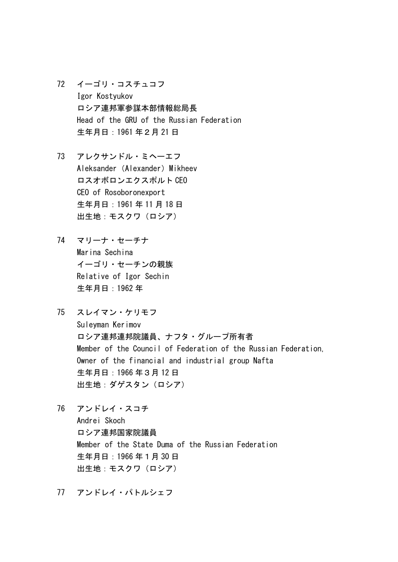- 72 イーゴリ・コスチュコフ Igor Kostyukov ロシア連邦軍参謀本部情報総局長 Head of the GRU of the Russian Federation 生年月日:1961 年2月 21 日
- 73 アレクサンドル・ミヘーエフ Aleksander (Alexander) Mikheev ロスオボロンエクスポルト CEO CEO of Rosoboronexport 生年月日:1961 年 11 月 18 日 出生地:モスクワ(ロシア)
- 74 マリーナ・セーチナ Marina Sechina イーゴリ・セーチンの親族 Relative of Igor Sechin 生年月日:1962 年
- 75 スレイマン・ケリモフ Suleyman Kerimov ロシア連邦連邦院議員、ナフタ・グループ所有者 Member of the Council of Federation of the Russian Federation, Owner of the financial and industrial group Nafta 生年月日:1966 年3月 12 日 出生地:ダゲスタン(ロシア)
- 76 アンドレイ・スコチ Andrei Skoch ロシア連邦国家院議員 Member of the State Duma of the Russian Federation 生年月日:1966 年1月 30 日 出生地:モスクワ(ロシア)
- 77 アンドレイ・パトルシェフ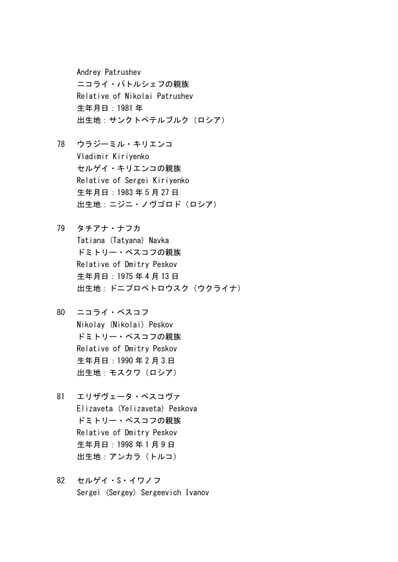Andrey Patrushev ニコライ・パトルシェフの親族 Relative of Nikolai Patrushev 生年月日:1981 年 出生地:サンクトペテルブルク(ロシア)

- 78 ウラジーミル・キリエンコ Vladimir Kiriyenko セルゲイ・キリエンコの親族 Relative of Sergei Kiriyenko 生年月日:1983 年 5 月 27 日 出生地:ニジニ・ノヴゴロド(ロシア)
- 79 タチアナ・ナフカ Tatiana (Tatyana) Navka ドミトリー・ペスコフの親族 Relative of Dmitry Peskov 生年月日:1975 年 4 月 13 日 出生地:ドニプロペトロウスク (ウクライナ)
- 80 ニコライ・ペスコフ Nikolay (Nikolai) Peskov ドミトリー・ペスコフの親族 Relative of Dmitry Peskov 生年月日:1990 年 2 月 3 日 出生地:モスクワ(ロシア)
- 81 エリザヴェータ・ペスコヴァ Elizaveta (Yelizaveta) Peskova ドミトリー・ペスコフの親族 Relative of Dmitry Peskov 生年月日:1998 年 1 月 9 日 出生地:アンカラ(トルコ)
- 82 セルゲイ・S・イワノフ Sergei (Sergey) Sergeevich Ivanov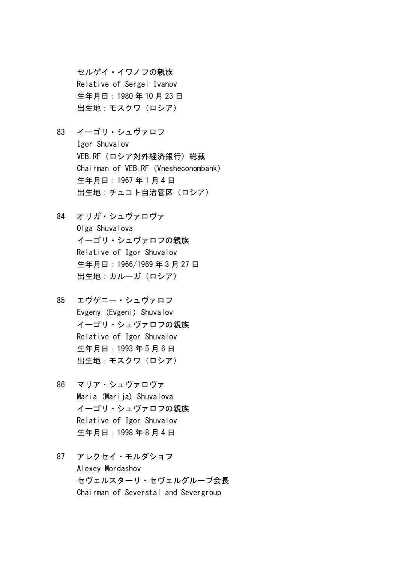セルゲイ・イワノフの親族 Relative of Sergei Ivanov 生年月日:1980 年 10 月 23 日 出生地:モスクワ(ロシア)

- 83 イーゴリ・シュヴァロフ Igor Shuvalov VEB. RF (ロシア対外経済銀行) 総裁 Chairman of VEB.RF (Vnesheconombank) 生年月日:1967 年 1 月 4 日 出生地:チュコト自治管区(ロシア)
- 84 オリガ・シュヴァロヴァ Olga Shuvalova イーゴリ・シュヴァロフの親族 Relative of Igor Shuvalov 生年月日:1966/1969 年 3 月 27 日 出生地:カルーガ(ロシア)
- 85 エヴゲニー・シュヴァロフ Evgeny (Evgeni) Shuvalov イーゴリ・シュヴァロフの親族 Relative of Igor Shuvalov 生年月日:1993 年 5 月 6 日 出生地:モスクワ(ロシア)
- 86 マリア・シュヴァロヴァ Maria (Marija) Shuvalova イーゴリ・シュヴァロフの親族 Relative of Igor Shuvalov 生年月日:1998 年 8 月 4 日
- 87 アレクセイ・モルダショフ Alexey Mordashov セヴェルスターリ・セヴェルグループ会長 Chairman of Severstal and Severgroup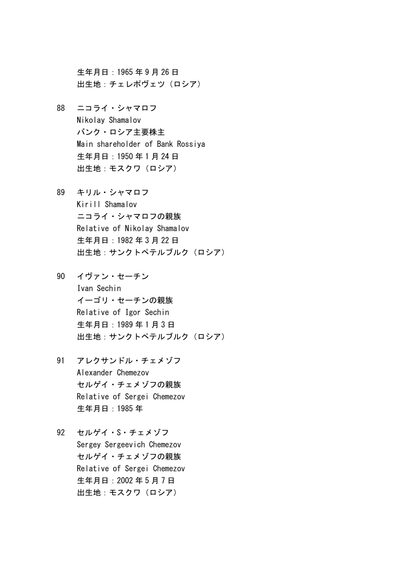生年月日:1965 年 9 月 26 日 出生地:チェレポヴェツ(ロシア)

- 88 ニコライ・シャマロフ Nikolay Shamalov バンク・ロシア主要株主 Main shareholder of Bank Rossiya 生年月日:1950 年 1 月 24 日 出生地:モスクワ(ロシア)
- 89 キリル・シャマロフ Kirill Shamalov ニコライ・シャマロフの親族 Relative of Nikolay Shamalov 生年月日:1982 年 3 月 22 日 出生地:サンクトペテルブルク(ロシア)
- 90 イヴァン・セーチン Ivan Sechin イーゴリ・セーチンの親族 Relative of Igor Sechin 生年月日:1989 年 1 月 3 日 出生地:サンクトペテルブルク(ロシア)
- 91 アレクサンドル・チェメゾフ Alexander Chemezov セルゲイ・チェメゾフの親族 Relative of Sergei Chemezov 生年月日:1985 年
- 92 セルゲイ・S・チェメゾフ Sergey Sergeevich Chemezov セルゲイ・チェメゾフの親族 Relative of Sergei Chemezov 生年月日:2002 年 5 月 7 日 出生地:モスクワ(ロシア)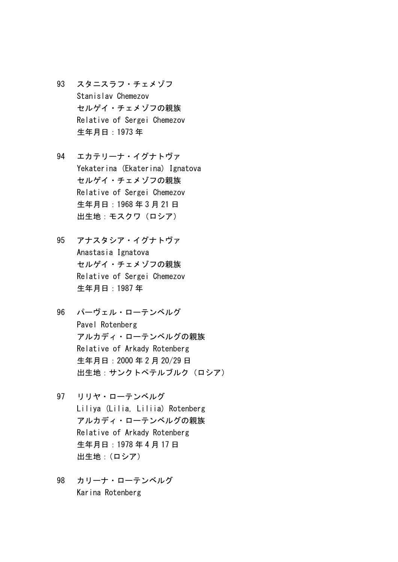- 93 スタニスラフ・チェメゾフ Stanislav Chemezov セルゲイ・チェメゾフの親族 Relative of Sergei Chemezov 生年月日:1973 年
- 94 エカテリーナ・イグナトヴァ Yekaterina (Ekaterina) Ignatova セルゲイ・チェメゾフの親族 Relative of Sergei Chemezov 生年月日:1968 年 3 月 21 日 出生地:モスクワ(ロシア)
- 95 アナスタシア・イグナトヴァ Anastasia Ignatova セルゲイ・チェメゾフの親族 Relative of Sergei Chemezov 生年月日:1987 年
- 96 パーヴェル・ローテンベルグ Pavel Rotenberg アルカディ・ローテンベルグの親族 Relative of Arkady Rotenberg 生年月日:2000 年 2 月 20/29 日 出生地:サンクトペテルブルク(ロシア)
- 97 リリヤ・ローテンベルグ Liliya (Lilia, Liliia) Rotenberg アルカディ・ローテンベルグの親族 Relative of Arkady Rotenberg 生年月日:1978 年 4 月 17 日 出生地:(ロシア)
- 98 カリーナ・ローテンベルグ Karina Rotenberg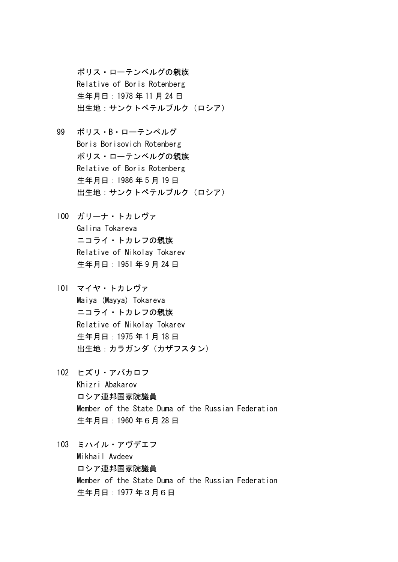ボリス・ローテンベルグの親族 Relative of Boris Rotenberg 生年月日:1978 年 11 月 24 日 出生地:サンクトペテルブルク(ロシア)

- 99 ボリス・B・ローテンベルグ Boris Borisovich Rotenberg ボリス・ローテンベルグの親族 Relative of Boris Rotenberg 生年月日:1986 年 5 月 19 日 出生地:サンクトペテルブルク(ロシア)
- 100 ガリーナ・トカレヴァ Galina Tokareva ニコライ・トカレフの親族 Relative of Nikolay Tokarev 生年月日:1951 年 9 月 24 日
- 101 マイヤ・トカレヴァ Maiya (Mayya) Tokareva ニコライ・トカレフの親族 Relative of Nikolay Tokarev 生年月日:1975 年 1 月 18 日 出生地:カラガンダ(カザフスタン)
- 102 ヒズリ・アバカロフ Khizri Abakarov ロシア連邦国家院議員 Member of the State Duma of the Russian Federation 生年月日:1960 年6月 28 日
- 103 ミハイル・アヴデエフ Mikhail Avdeev ロシア連邦国家院議員 Member of the State Duma of the Russian Federation 生年月日:1977 年3月6日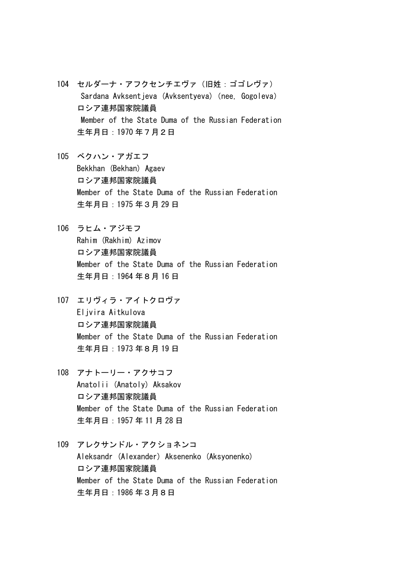- 104 セルダーナ・アフクセンチエヴァ(旧姓:ゴゴレヴァ) Sardana Avksentjeva (Avksentyeva) (nee, Gogoleva) ロシア連邦国家院議員 Member of the State Duma of the Russian Federation 生年月日:1970 年7月2日
- 105 ベクハン・アガエフ Bekkhan (Bekhan) Agaev ロシア連邦国家院議員 Member of the State Duma of the Russian Federation 生年月日:1975 年3月 29 日
- 106 ラヒム・アジモフ Rahim (Rakhim) Azimov ロシア連邦国家院議員 Member of the State Duma of the Russian Federation 生年月日:1964 年8月 16 日
- 107 エリヴィラ・アイトクロヴァ Eljvira Aitkulova ロシア連邦国家院議員 Member of the State Duma of the Russian Federation 生年月日:1973 年8月 19 日
- 108 アナトーリー・アクサコフ Anatolii (Anatoly) Aksakov ロシア連邦国家院議員 Member of the State Duma of the Russian Federation 生年月日:1957 年 11 月 28 日
- 109 アレクサンドル・アクショネンコ Aleksandr (Alexander) Aksenenko (Aksyonenko) ロシア連邦国家院議員 Member of the State Duma of the Russian Federation 生年月日:1986 年3月8日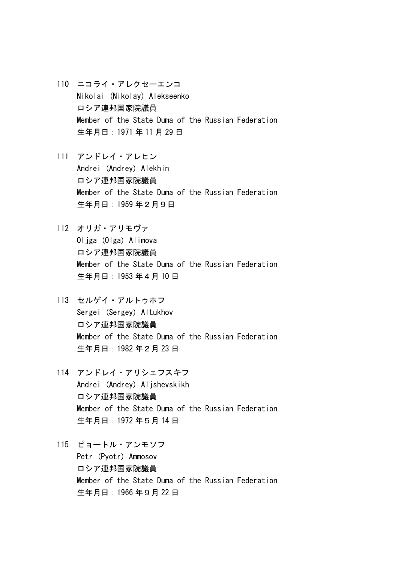- 110 ニコライ・アレクセーエンコ Nikolai (Nikolay) Alekseenko ロシア連邦国家院議員 Member of the State Duma of the Russian Federation 生年月日:1971 年 11 月 29 日
- 111 アンドレイ・アレヒン Andrei (Andrey) Alekhin ロシア連邦国家院議員 Member of the State Duma of the Russian Federation 生年月日:1959 年2月9日
- 112 オリガ・アリモヴァ Oljga (Olga) Alimova ロシア連邦国家院議員 Member of the State Duma of the Russian Federation 生年月日:1953 年4月 10 日
- 113 セルゲイ・アルトゥホフ Sergei (Sergey) Altukhov ロシア連邦国家院議員 Member of the State Duma of the Russian Federation 生年月日:1982 年2月 23 日
- 114 アンドレイ・アリシェフスキフ Andrei (Andrey) Aljshevskikh ロシア連邦国家院議員 Member of the State Duma of the Russian Federation 生年月日:1972 年5月 14 日
- 115 ピョートル・アンモソフ Petr (Pyotr) Ammosov ロシア連邦国家院議員 Member of the State Duma of the Russian Federation 生年月日:1966 年9月 22 日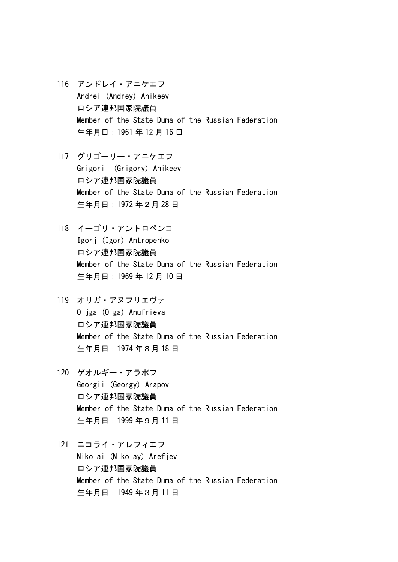- 116 アンドレイ・アニケエフ Andrei (Andrey) Anikeev ロシア連邦国家院議員 Member of the State Duma of the Russian Federation 生年月日:1961 年 12 月 16 日
- 117 グリゴーリー・アニケエフ Grigorii (Grigory) Anikeev ロシア連邦国家院議員 Member of the State Duma of the Russian Federation 生年月日:1972 年2月 28 日
- 118 イーゴリ・アントロペンコ Igorj (Igor) Antropenko ロシア連邦国家院議員 Member of the State Duma of the Russian Federation 生年月日:1969 年 12 月 10 日
- 119 オリガ・アヌフリエヴァ Oljga (Olga) Anufrieva ロシア連邦国家院議員 Member of the State Duma of the Russian Federation 生年月日:1974 年8月 18 日
- 120 ゲオルギー・アラポフ Georgii (Georgy) Arapov ロシア連邦国家院議員 Member of the State Duma of the Russian Federation 生年月日:1999 年9月 11 日
- 121 ニコライ・アレフィエフ Nikolai (Nikolay) Arefjev ロシア連邦国家院議員 Member of the State Duma of the Russian Federation 生年月日:1949 年3月 11 日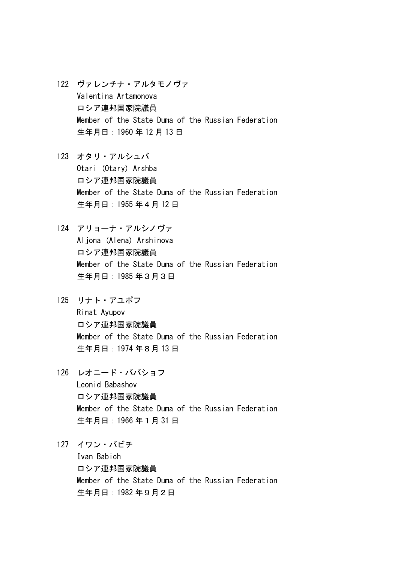- 122 ヴァレンチナ・アルタモノヴァ Valentina Artamonova ロシア連邦国家院議員 Member of the State Duma of the Russian Federation 生年月日:1960 年 12 月 13 日
- 123 オタリ・アルシュバ Otari (Otary) Arshba ロシア連邦国家院議員 Member of the State Duma of the Russian Federation 生年月日:1955 年4月 12 日
- 124 アリョーナ・アルシノヴァ Aljona (Alena) Arshinova ロシア連邦国家院議員 Member of the State Duma of the Russian Federation 生年月日:1985 年3月3日
- 125 リナト・アユポフ Rinat Ayupov ロシア連邦国家院議員 Member of the State Duma of the Russian Federation 生年月日:1974 年8月 13 日
- 126 レオニード・ババショフ Leonid Babashov ロシア連邦国家院議員 Member of the State Duma of the Russian Federation 生年月日:1966 年1月 31 日
- 127 イワン・バビチ

Ivan Babich ロシア連邦国家院議員 Member of the State Duma of the Russian Federation 生年月日:1982 年9月2日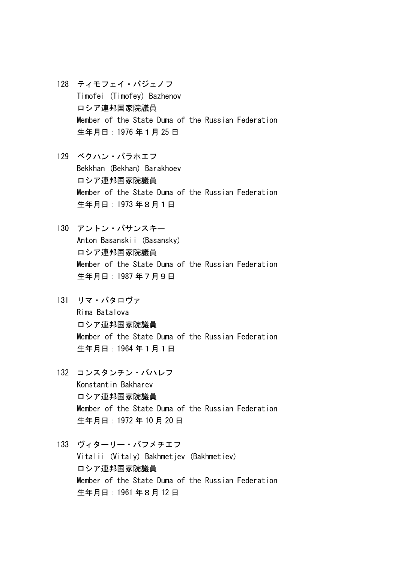- 128 ティモフェイ・バジェノフ Timofei (Timofey) Bazhenov ロシア連邦国家院議員 Member of the State Duma of the Russian Federation 生年月日:1976 年1月 25 日
- 129 ベクハン・バラホエフ Bekkhan (Bekhan) Barakhoev ロシア連邦国家院議員 Member of the State Duma of the Russian Federation 生年月日:1973 年8月1日
- 130 アントン・バサンスキー Anton Basanskii (Basansky) ロシア連邦国家院議員 Member of the State Duma of the Russian Federation 生年月日:1987 年7月9日
- 131 リマ・バタロヴァ Rima Batalova ロシア連邦国家院議員 Member of the State Duma of the Russian Federation 生年月日:1964 年1月1日
- 132 コンスタンチン・バハレフ Konstantin Bakharev ロシア連邦国家院議員 Member of the State Duma of the Russian Federation 生年月日:1972 年 10 月 20 日
- 133 ヴィターリー・バフメチエフ Vitalii (Vitaly) Bakhmetiev (Bakhmetiev) ロシア連邦国家院議員 Member of the State Duma of the Russian Federation 生年月日:1961 年8月 12 日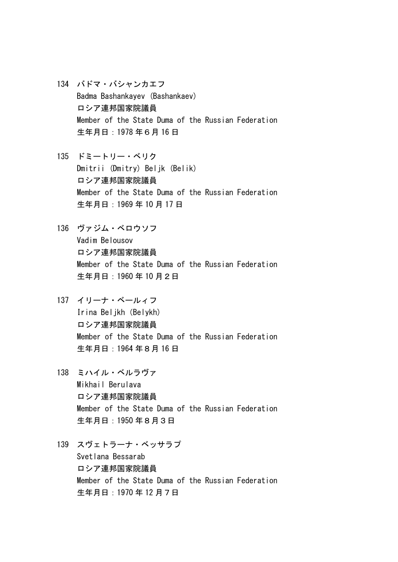- 134 バドマ・バシャンカエフ Badma Bashankayev (Bashankaev) ロシア連邦国家院議員 Member of the State Duma of the Russian Federation 生年月日:1978 年6月 16 日
- 135 ドミートリー・ベリク Dmitrii (Dmitry) Beljk (Belik) ロシア連邦国家院議員 Member of the State Duma of the Russian Federation 生年月日:1969 年 10 月 17 日
- 136 ヴァジム・ベロウソフ Vadim Belousov ロシア連邦国家院議員 Member of the State Duma of the Russian Federation 生年月日:1960 年 10 月2日
- 137 イリーナ・ベールィフ Irina Beljkh(Belykh) ロシア連邦国家院議員 Member of the State Duma of the Russian Federation 生年月日:1964 年8月 16 日
- 138 ミハイル・ベルラヴァ Mikhail Berulava ロシア連邦国家院議員 Member of the State Duma of the Russian Federation 生年月日:1950 年8月3日
- 139 スヴェトラーナ・ベッサラプ Svetlana Bessarab ロシア連邦国家院議員 Member of the State Duma of the Russian Federation 生年月日:1970 年 12 月7日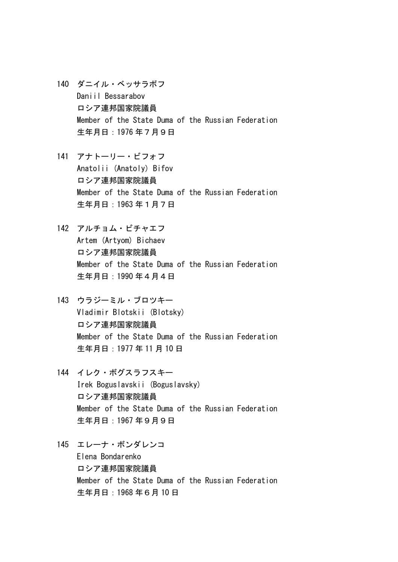- 140 ダニイル・ベッサラボフ Daniil Bessarabov ロシア連邦国家院議員 Member of the State Duma of the Russian Federation 生年月日:1976 年7月9日
- 141 アナトーリー・ビフォフ Anatolii (Anatoly) Bifov ロシア連邦国家院議員 Member of the State Duma of the Russian Federation 生年月日:1963 年1月7日
- 142 アルチョム・ビチャエフ Artem (Artyom) Bichaev ロシア連邦国家院議員 Member of the State Duma of the Russian Federation 生年月日:1990 年4月4日
- 143 ウラジーミル・ブロツキー Vladimir Blotskii (Blotsky) ロシア連邦国家院議員 Member of the State Duma of the Russian Federation 生年月日:1977 年 11 月 10 日
- 144 イレク・ボグスラフスキー Irek Boguslavskii (Boguslavsky) ロシア連邦国家院議員 Member of the State Duma of the Russian Federation 生年月日:1967 年9月9日
- 145 エレーナ・ボンダレンコ Elena Bondarenko ロシア連邦国家院議員 Member of the State Duma of the Russian Federation 生年月日:1968 年6月 10 日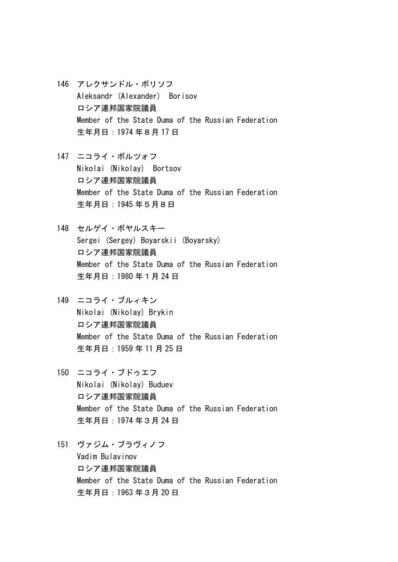- 146 アレクサンドル・ボリソフ Aleksandr (Alexander) Borisov ロシア連邦国家院議員 Member of the State Duma of the Russian Federation 生年月日:1974 年8月 17 日
- 147 ニコライ・ボルツォフ Nikolai (Nikolay) Bortsov ロシア連邦国家院議員 Member of the State Duma of the Russian Federation 生年月日:1945 年5月8日
- 148 セルゲイ・ボヤルスキー Sergei (Sergey) Boyarskii (Boyarsky) ロシア連邦国家院議員 Member of the State Duma of the Russian Federation 生年月日:1980 年1月 24 日
- 149 ニコライ・ブルィキン Nikolai (Nikolay) Brykin ロシア連邦国家院議員 Member of the State Duma of the Russian Federation 生年月日:1959 年 11 月 25 日
- 150 ニコライ・ブドゥエフ Nikolai (Nikolay) Buduev ロシア連邦国家院議員 Member of the State Duma of the Russian Federation 生年月日:1974 年3月 24 日
- 151 ヴァジム・ブラヴィノフ Vadim Bulavinov ロシア連邦国家院議員 Member of the State Duma of the Russian Federation 生年月日:1963 年3月 20 日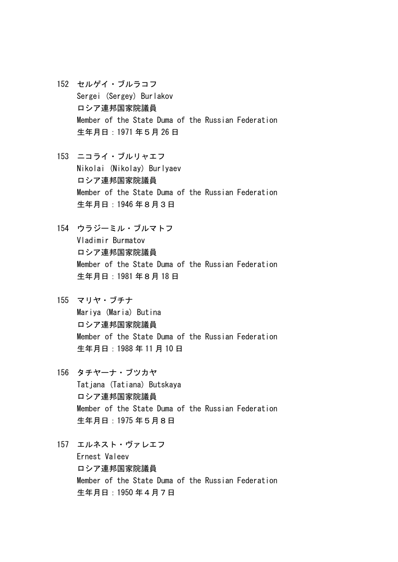- 152 セルゲイ・ブルラコフ Sergei (Sergey) Burlakov ロシア連邦国家院議員 Member of the State Duma of the Russian Federation 生年月日:1971 年5月 26 日
- 153 ニコライ・ブルリャエフ Nikolai (Nikolay) Burlyaev ロシア連邦国家院議員 Member of the State Duma of the Russian Federation 生年月日:1946 年8月3日
- 154 ウラジーミル・ブルマトフ Vladimir Burmatov ロシア連邦国家院議員 Member of the State Duma of the Russian Federation 生年月日:1981 年8月 18 日
- 155 マリヤ・ブチナ Mariya (Maria) Butina ロシア連邦国家院議員 Member of the State Duma of the Russian Federation 生年月日:1988 年 11 月 10 日
- 156 タチヤーナ・ブツカヤ Tatiana (Tatiana) Butskaya ロシア連邦国家院議員 Member of the State Duma of the Russian Federation 生年月日:1975 年5月8日
- 157 エルネスト・ヴァレエフ Ernest Valeev ロシア連邦国家院議員 Member of the State Duma of the Russian Federation 生年月日:1950 年4月7日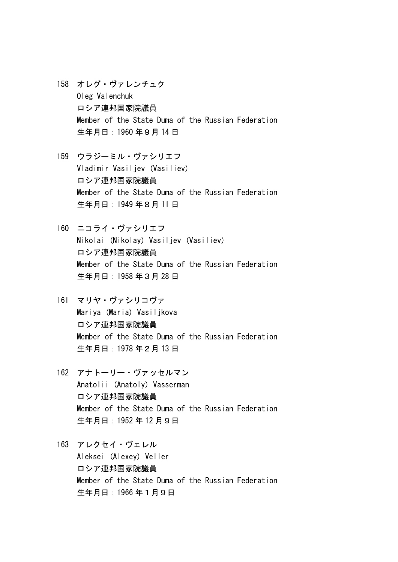- 158 オレグ・ヴァレンチュク Oleg Valenchuk ロシア連邦国家院議員 Member of the State Duma of the Russian Federation 生年月日:1960 年9月 14 日
- 159 ウラジーミル・ヴァシリエフ Vladimir Vasiljev (Vasiliev) ロシア連邦国家院議員 Member of the State Duma of the Russian Federation 生年月日:1949 年8月 11 日
- 160 ニコライ・ヴァシリエフ Nikolai (Nikolay) Vasiljev (Vasiliev) ロシア連邦国家院議員 Member of the State Duma of the Russian Federation 生年月日:1958 年3月 28 日
- 161 マリヤ・ヴァシリコヴァ Mariya (Maria) Vasiljkova ロシア連邦国家院議員 Member of the State Duma of the Russian Federation 生年月日:1978 年2月 13 日
- 162 アナトーリー・ヴァッセルマン Anatolii (Anatoly) Vasserman ロシア連邦国家院議員 Member of the State Duma of the Russian Federation 生年月日:1952 年 12 月9日
- 163 アレクセイ・ヴェレル Aleksei (Alexey) Veller ロシア連邦国家院議員 Member of the State Duma of the Russian Federation 生年月日:1966 年1月9日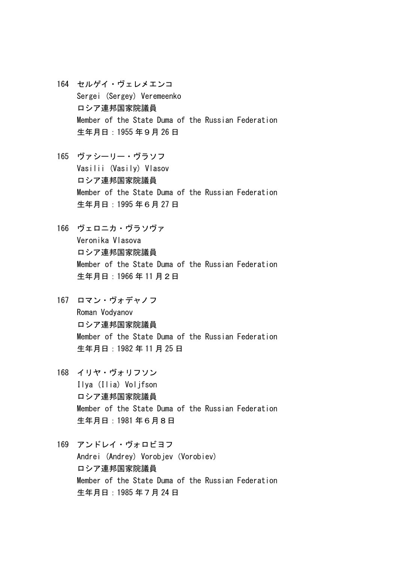- 164 セルゲイ・ヴェレメエンコ Sergei (Sergey) Veremeenko ロシア連邦国家院議員 Member of the State Duma of the Russian Federation 生年月日:1955 年9月 26 日
- 165 ヴァシーリー・ヴラソフ Vasilii (Vasily) Vlasov ロシア連邦国家院議員 Member of the State Duma of the Russian Federation 生年月日:1995 年6月 27 日
- 166 ヴェロニカ・ヴラソヴァ Veronika Vlasova ロシア連邦国家院議員 Member of the State Duma of the Russian Federation 生年月日:1966 年 11 月2日
- 167 ロマン・ヴォデャノフ Roman Vodyanov ロシア連邦国家院議員 Member of the State Duma of the Russian Federation 生年月日:1982 年 11 月 25 日
- 168 イリヤ・ヴォリフソン Ilya (Ilia) Voljfson ロシア連邦国家院議員 Member of the State Duma of the Russian Federation 生年月日:1981 年6月8日
- 169 アンドレイ・ヴォロビヨフ Andrei (Andrey) Vorobjev (Vorobiev) ロシア連邦国家院議員 Member of the State Duma of the Russian Federation 生年月日:1985 年7月 24 日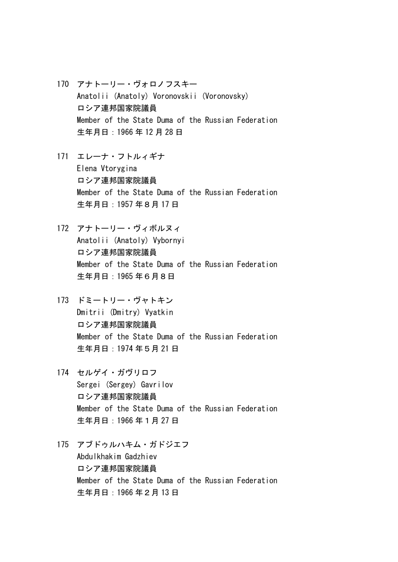- 170 アナトーリー・ヴォロノフスキー Anatolii (Anatoly) Voronovskii (Voronovsky) ロシア連邦国家院議員 Member of the State Duma of the Russian Federation 生年月日:1966 年 12 月 28 日
- 171 エレーナ・フトルィギナ Elena Vtorygina ロシア連邦国家院議員 Member of the State Duma of the Russian Federation 生年月日:1957 年8月 17 日
- 172 アナトーリー・ヴィボルヌィ Anatolii (Anatoly) Vybornyi ロシア連邦国家院議員 Member of the State Duma of the Russian Federation 生年月日:1965 年6月8日
- 173 ドミートリー・ヴャトキン Dmitrii (Dmitry) Vyatkin ロシア連邦国家院議員 Member of the State Duma of the Russian Federation 生年月日:1974 年5月 21 日
- 174 セルゲイ・ガヴリロフ Sergei (Sergey) Gavrilov ロシア連邦国家院議員 Member of the State Duma of the Russian Federation 生年月日:1966 年1月 27 日
- 175 アブドゥルハキム・ガドジエフ Abdulkhakim Gadzhiev ロシア連邦国家院議員 Member of the State Duma of the Russian Federation 生年月日:1966 年2月 13 日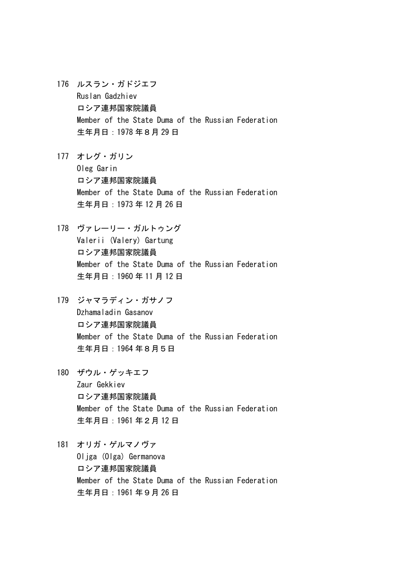- 176 ルスラン・ガドジエフ Ruslan Gadzhiev ロシア連邦国家院議員 Member of the State Duma of the Russian Federation 生年月日:1978 年8月 29 日
- 177 オレグ・ガリン Oleg Garin ロシア連邦国家院議員 Member of the State Duma of the Russian Federation 生年月日:1973 年 12 月 26 日
- 178 ヴァレーリー・ガルトゥング Valerii (Valery) Gartung ロシア連邦国家院議員 Member of the State Duma of the Russian Federation 生年月日:1960 年 11 月 12 日
- 179 ジャマラディン・ガサノフ Dzhamaladin Gasanov ロシア連邦国家院議員 Member of the State Duma of the Russian Federation 生年月日:1964 年8月5日
- 180 ザウル・ゲッキエフ Zaur Gekkiev ロシア連邦国家院議員 Member of the State Duma of the Russian Federation 生年月日:1961 年2月 12 日
- 181 オリガ・ゲルマノヴァ

Oliga (Olga) Germanova ロシア連邦国家院議員 Member of the State Duma of the Russian Federation 生年月日:1961 年9月 26 日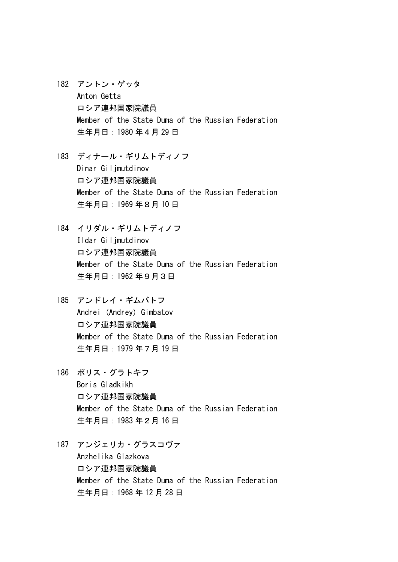- 182 アントン・ゲッタ Anton Getta ロシア連邦国家院議員 Member of the State Duma of the Russian Federation 生年月日:1980 年4月 29 日
- 183 ディナール・ギリムトディノフ Dinar Giljmutdinov ロシア連邦国家院議員 Member of the State Duma of the Russian Federation 生年月日:1969 年8月 10 日
- 184 イリダル・ギリムトディノフ Ildar Giljmutdinov ロシア連邦国家院議員 Member of the State Duma of the Russian Federation 生年月日:1962 年9月3日
- 185 アンドレイ・ギムバトフ Andrei (Andrey) Gimbatov ロシア連邦国家院議員 Member of the State Duma of the Russian Federation 生年月日:1979 年7月 19 日
- 186 ボリス・グラトキフ Boris Gladkikh ロシア連邦国家院議員 Member of the State Duma of the Russian Federation 生年月日:1983 年2月 16 日
- 187 アンジェリカ・グラスコヴァ Anzhelika Glazkova ロシア連邦国家院議員 Member of the State Duma of the Russian Federation 生年月日:1968 年 12 月 28 日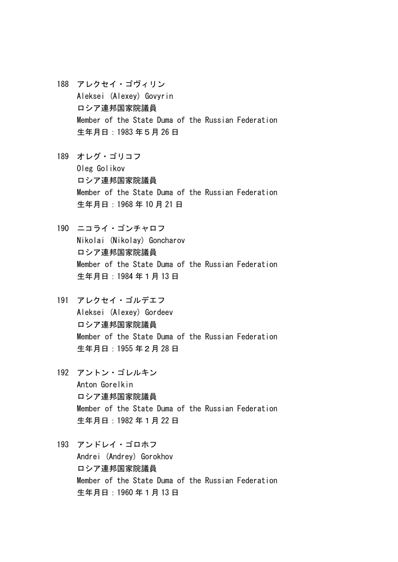- 188 アレクセイ・ゴヴィリン Aleksei (Alexey) Govyrin ロシア連邦国家院議員 Member of the State Duma of the Russian Federation 生年月日:1983 年5月 26 日
- 189 オレグ・ゴリコフ Oleg Golikov ロシア連邦国家院議員 Member of the State Duma of the Russian Federation 生年月日:1968 年 10 月 21 日
- 190 ニコライ・ゴンチャロフ Nikolai (Nikolay) Goncharov ロシア連邦国家院議員 Member of the State Duma of the Russian Federation 生年月日:1984 年1月 13 日
- 191 アレクセイ・ゴルデエフ Aleksei (Alexey) Gordeev ロシア連邦国家院議員 Member of the State Duma of the Russian Federation 生年月日:1955 年2月 28 日
- 192 アントン・ゴレルキン Anton Gorelkin ロシア連邦国家院議員 Member of the State Duma of the Russian Federation 生年月日:1982 年1月 22 日
- 193 アンドレイ・ゴロホフ Andrei (Andrey) Gorokhov ロシア連邦国家院議員 Member of the State Duma of the Russian Federation 生年月日:1960 年1月 13 日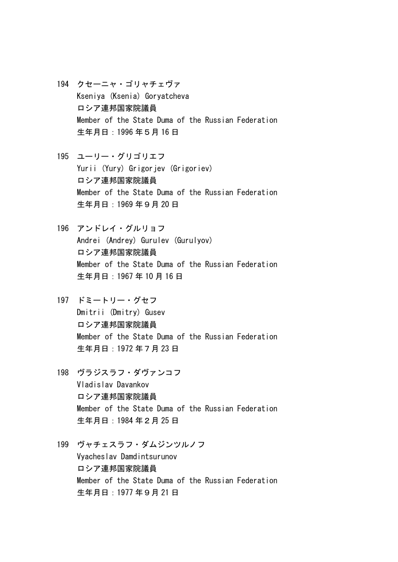- 194 クセーニャ・ゴリャチェヴァ Kseniya (Ksenia) Goryatcheva ロシア連邦国家院議員 Member of the State Duma of the Russian Federation 生年月日:1996 年5月 16 日
- 195 ユーリー・グリゴリエフ Yurii (Yury) Grigorjev (Grigoriev) ロシア連邦国家院議員 Member of the State Duma of the Russian Federation 生年月日:1969 年9月 20 日
- 196 アンドレイ・グルリョフ Andrei (Andrey) Gurulev (Gurulyov) ロシア連邦国家院議員 Member of the State Duma of the Russian Federation 生年月日:1967 年 10 月 16 日
- 197 ドミートリー・グセフ Dmitrii (Dmitry) Gusev ロシア連邦国家院議員 Member of the State Duma of the Russian Federation 生年月日:1972 年7月 23 日
- 198 ヴラジスラフ・ダヴァンコフ Vladislav Davankov ロシア連邦国家院議員 Member of the State Duma of the Russian Federation 生年月日:1984 年2月 25 日
- 199 ヴャチェスラフ・ダムジンツルノフ Vyacheslav Damdintsurunov ロシア連邦国家院議員 Member of the State Duma of the Russian Federation 生年月日:1977 年9月 21 日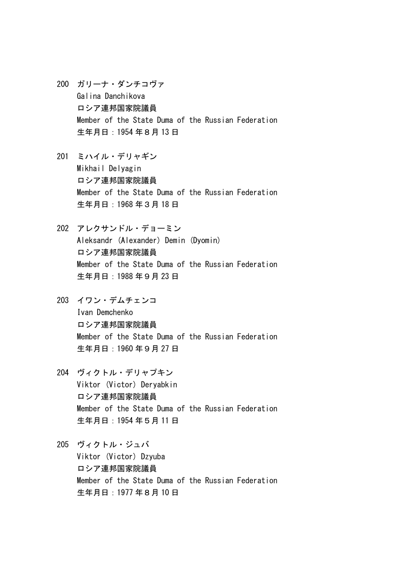- 200 ガリーナ・ダンチコヴァ Galina Danchikova ロシア連邦国家院議員 Member of the State Duma of the Russian Federation 生年月日:1954 年8月 13 日
- 201 ミハイル・デリャギン Mikhail Delyagin ロシア連邦国家院議員 Member of the State Duma of the Russian Federation 生年月日:1968 年3月 18 日
- 202 アレクサンドル・デョーミン Aleksandr (Alexander) Demin (Dyomin) ロシア連邦国家院議員 Member of the State Duma of the Russian Federation 生年月日:1988 年9月 23 日
- 203 イワン・デムチェンコ Ivan Demchenko ロシア連邦国家院議員 Member of the State Duma of the Russian Federation 生年月日:1960 年9月 27 日
- 204 ヴィクトル・デリャプキン Viktor (Victor) Deryabkin ロシア連邦国家院議員 Member of the State Duma of the Russian Federation 生年月日:1954 年5月 11 日
- 205 ヴィクトル・ジュバ Viktor (Victor) Dzyuba ロシア連邦国家院議員 Member of the State Duma of the Russian Federation 生年月日:1977 年8月 10 日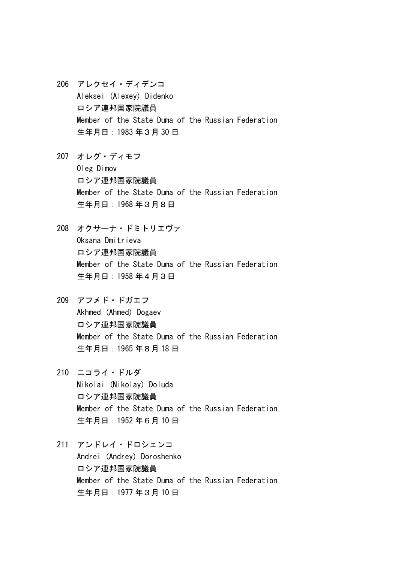- 206 アレクセイ・ディデンコ Aleksei (Alexey) Didenko ロシア連邦国家院議員 Member of the State Duma of the Russian Federation 生年月日:1983 年3月 30 日
- 207 オレグ・ディモフ Oleg Dimov ロシア連邦国家院議員 Member of the State Duma of the Russian Federation 生年月日:1968 年3月8日
- 208 オクサーナ・ドミトリエヴァ Oksana Dmitrieva ロシア連邦国家院議員 Member of the State Duma of the Russian Federation 生年月日:1958 年4月3日
- 209 アフメド・ドガエフ Akhmed (Ahmed) Dogaev ロシア連邦国家院議員 Member of the State Duma of the Russian Federation 生年月日:1965 年8月 18 日
- 210 ニコライ・ドルダ Nikolai (Nikolay) Doluda ロシア連邦国家院議員 Member of the State Duma of the Russian Federation 生年月日:1952 年6月 10 日
- 211 アンドレイ・ドロシェンコ Andrei (Andrey) Doroshenko ロシア連邦国家院議員 Member of the State Duma of the Russian Federation 生年月日:1977 年3月 10 日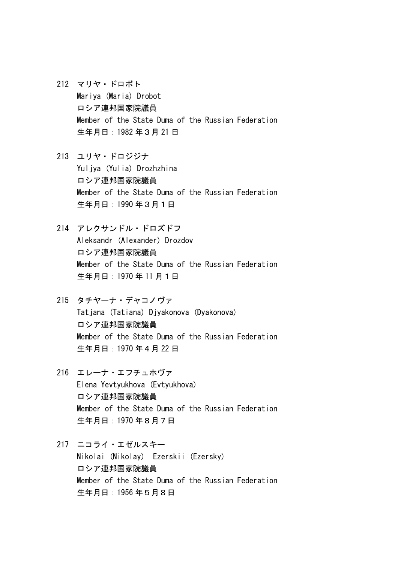- 212 マリヤ・ドロボト Mariya (Maria) Drobot ロシア連邦国家院議員 Member of the State Duma of the Russian Federation 生年月日:1982 年3月 21 日
- 213 ユリヤ・ドロジジナ Yuljya (Yulia) Drozhzhina ロシア連邦国家院議員 Member of the State Duma of the Russian Federation 生年月日:1990 年3月1日
- 214 アレクサンドル・ドロズドフ Aleksandr (Alexander) Drozdov ロシア連邦国家院議員 Member of the State Duma of the Russian Federation 生年月日:1970 年 11 月1日
- 215 タチヤーナ・デャコノヴァ Tatiana (Tatiana) Diyakonova (Dyakonova) ロシア連邦国家院議員 Member of the State Duma of the Russian Federation 生年月日:1970 年4月 22 日
- 216 エレーナ・エフチュホヴァ Elena Yevtyukhova (Evtyukhova) ロシア連邦国家院議員 Member of the State Duma of the Russian Federation 生年月日:1970 年8月7日
- 217 ニコライ・エゼルスキー Nikolai (Nikolay) Ezerskii (Ezersky) ロシア連邦国家院議員 Member of the State Duma of the Russian Federation 生年月日:1956 年5月8日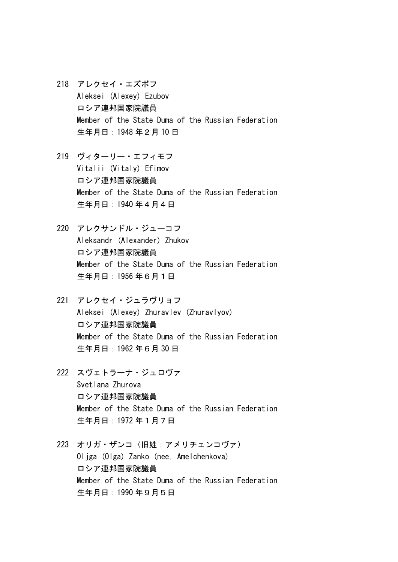- 218 アレクセイ・エズボフ Aleksei (Alexey) Ezubov ロシア連邦国家院議員 Member of the State Duma of the Russian Federation 生年月日:1948 年2月 10 日
- 219 ヴィターリー・エフィモフ Vitalii (Vitaly) Efimov ロシア連邦国家院議員 Member of the State Duma of the Russian Federation 生年月日:1940 年4月4日
- 220 アレクサンドル・ジューコフ Aleksandr (Alexander) Zhukov ロシア連邦国家院議員 Member of the State Duma of the Russian Federation 生年月日:1956 年6月1日
- 221 アレクセイ・ジュラヴリョフ Aleksei (Alexey) Zhuravlev (Zhuravlyov) ロシア連邦国家院議員 Member of the State Duma of the Russian Federation 生年月日:1962 年6月 30 日
- 222 スヴェトラーナ・ジュロヴァ Svetlana Zhurova ロシア連邦国家院議員 Member of the State Duma of the Russian Federation 生年月日:1972 年1月7日
- 223 オリガ・ザンコ(旧姓:アメリチェンコヴァ) Oljga (Olga) Zanko (nee, Amelchenkova) ロシア連邦国家院議員 Member of the State Duma of the Russian Federation 生年月日:1990 年9月5日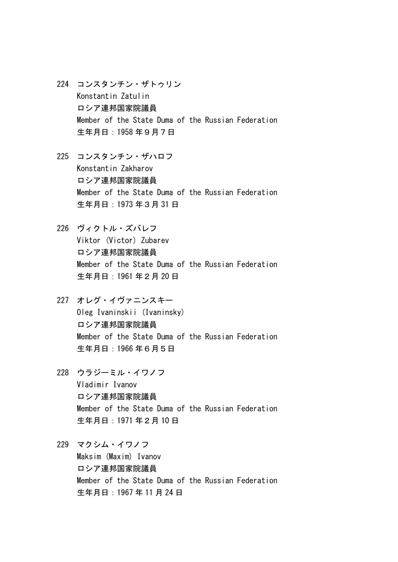- 224 コンスタンチン・ザトゥリン Konstantin Zatulin ロシア連邦国家院議員 Member of the State Duma of the Russian Federation 生年月日:1958 年9月7日
- 225 コンスタンチン・ザハロフ Konstantin Zakharov ロシア連邦国家院議員 Member of the State Duma of the Russian Federation 生年月日:1973 年3月 31 日
- 226 ヴィクトル・ズバレフ Viktor (Victor) Zubarev ロシア連邦国家院議員 Member of the State Duma of the Russian Federation 生年月日:1961 年2月 20 日
- 227 オレグ・イヴァニンスキー Oleg Ivaninskii (Ivaninsky) ロシア連邦国家院議員 Member of the State Duma of the Russian Federation 生年月日:1966 年6月5日
- 228 ウラジーミル・イワノフ Vladimir Ivanov ロシア連邦国家院議員 Member of the State Duma of the Russian Federation 生年月日:1971 年2月 10 日
- 229 マクシム・イワノフ Maksim (Maxim) Ivanov ロシア連邦国家院議員 Member of the State Duma of the Russian Federation 生年月日:1967 年 11 月 24 日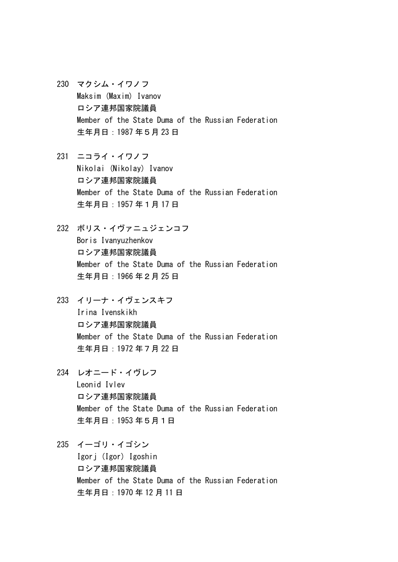- 230 マクシム・イワノフ Maksim (Maxim) Ivanov ロシア連邦国家院議員 Member of the State Duma of the Russian Federation 生年月日:1987 年5月 23 日
- 231 ニコライ・イワノフ Nikolai (Nikolay) Ivanov ロシア連邦国家院議員 Member of the State Duma of the Russian Federation 生年月日:1957 年1月 17 日
- 232 ボリス・イヴァニュジェンコフ Boris Ivanyuzhenkov ロシア連邦国家院議員 Member of the State Duma of the Russian Federation 生年月日:1966 年2月 25 日
- 233 イリーナ・イヴェンスキフ Irina Ivenskikh ロシア連邦国家院議員 Member of the State Duma of the Russian Federation 生年月日:1972 年7月 22 日
- 234 レオニード・イヴレフ Leonid Ivlev ロシア連邦国家院議員 Member of the State Duma of the Russian Federation 生年月日:1953 年5月1日
- 235 イーゴリ・イゴシン Igorj (Igor) Igoshin ロシア連邦国家院議員 Member of the State Duma of the Russian Federation

生年月日:1970 年 12 月 11 日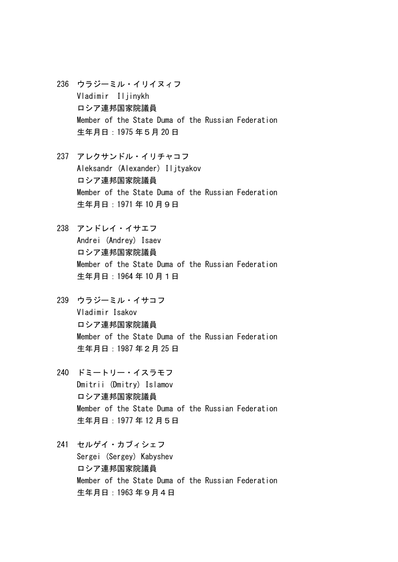- 236 ウラジーミル・イリイヌィフ Vladimir Iljinykh ロシア連邦国家院議員 Member of the State Duma of the Russian Federation 生年月日:1975 年5月 20 日
- 237 アレクサンドル・イリチャコフ Aleksandr (Alexander) Iljtyakov ロシア連邦国家院議員 Member of the State Duma of the Russian Federation 生年月日:1971 年 10 月9日
- 238 アンドレイ・イサエフ Andrei (Andrey) Isaev ロシア連邦国家院議員 Member of the State Duma of the Russian Federation 生年月日:1964 年 10 月1日
- 239 ウラジーミル・イサコフ Vladimir Isakov ロシア連邦国家院議員 Member of the State Duma of the Russian Federation 生年月日:1987 年2月 25 日
- 240 ドミートリー・イスラモフ Dmitrii (Dmitry) Islamov ロシア連邦国家院議員 Member of the State Duma of the Russian Federation 生年月日:1977 年 12 月5日
- 241 セルゲイ・カブィシェフ Sergei (Sergey) Kabyshev ロシア連邦国家院議員 Member of the State Duma of the Russian Federation 生年月日:1963 年9月4日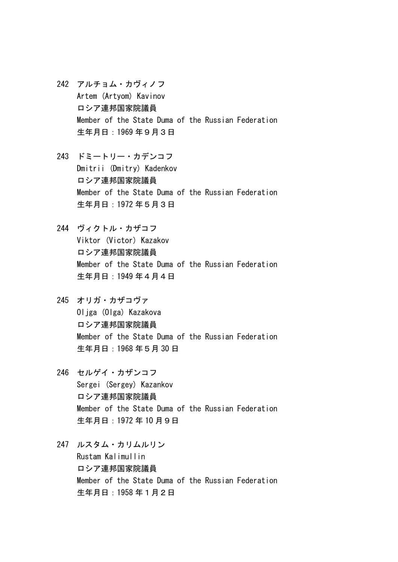- 242 アルチョム・カヴィノフ Artem (Artyom) Kavinov ロシア連邦国家院議員 Member of the State Duma of the Russian Federation 生年月日:1969 年9月3日
- 243 ドミートリー・カデンコフ Dmitrii (Dmitry) Kadenkov ロシア連邦国家院議員 Member of the State Duma of the Russian Federation 生年月日:1972 年5月3日
- 244 ヴィクトル・カザコフ Viktor (Victor) Kazakov ロシア連邦国家院議員 Member of the State Duma of the Russian Federation 生年月日:1949 年4月4日
- 245 オリガ・カザコヴァ Oliga (Olga) Kazakova ロシア連邦国家院議員 Member of the State Duma of the Russian Federation 生年月日:1968 年5月 30 日
- 246 セルゲイ・カザンコフ Sergei (Sergey) Kazankov ロシア連邦国家院議員 Member of the State Duma of the Russian Federation 生年月日:1972 年 10 月9日
- 247 ルスタム・カリムルリン Rustam Kalimullin ロシア連邦国家院議員 Member of the State Duma of the Russian Federation 生年月日:1958 年1月2日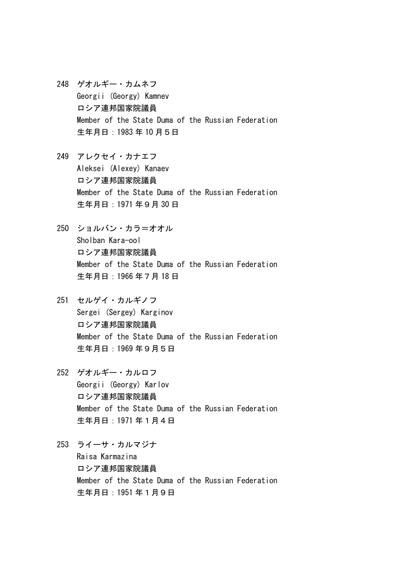- 248 ゲオルギー・カムネフ Georgii (Georgy) Kamnev ロシア連邦国家院議員 Member of the State Duma of the Russian Federation 生年月日:1983 年 10 月5日
- 249 アレクセイ・カナエフ Aleksei (Alexey) Kanaev ロシア連邦国家院議員 Member of the State Duma of the Russian Federation 生年月日:1971 年9月 30 日
- 250 ショルバン・カラ=オオル Sholban Kara-ool ロシア連邦国家院議員 Member of the State Duma of the Russian Federation 生年月日:1966 年7月 18 日
- 251 セルゲイ・カルギノフ Sergei (Sergey) Karginov ロシア連邦国家院議員 Member of the State Duma of the Russian Federation 生年月日:1969 年9月5日
- 252 ゲオルギー・カルロフ Georgii (Georgy) Karlov ロシア連邦国家院議員 Member of the State Duma of the Russian Federation 生年月日:1971 年1月4日
- 253 ライーサ・カルマジナ Raisa Karmazina ロシア連邦国家院議員 Member of the State Duma of the Russian Federation 生年月日:1951 年1月9日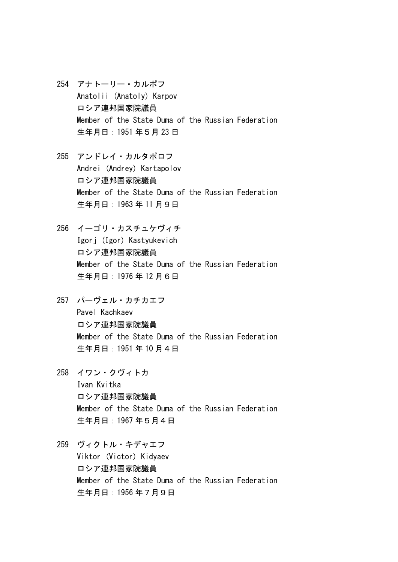- 254 アナトーリー・カルポフ Anatolii (Anatoly) Karpov ロシア連邦国家院議員 Member of the State Duma of the Russian Federation 生年月日:1951 年5月 23 日
- 255 アンドレイ・カルタポロフ Andrei (Andrey) Kartapolov ロシア連邦国家院議員 Member of the State Duma of the Russian Federation 生年月日:1963 年 11 月9日
- 256 イーゴリ・カスチュケヴィチ Igorj (Igor) Kastyukevich ロシア連邦国家院議員 Member of the State Duma of the Russian Federation 生年月日:1976 年 12 月6日
- 257 パーヴェル・カチカエフ Pavel Kachkaev ロシア連邦国家院議員 Member of the State Duma of the Russian Federation 生年月日:1951 年 10 月4日
- 258 イワン・クヴィトカ Ivan Kvitka ロシア連邦国家院議員 Member of the State Duma of the Russian Federation 生年月日:1967 年5月4日
- 259 ヴィクトル・キデャエフ Viktor (Victor) Kidyaev ロシア連邦国家院議員 Member of the State Duma of the Russian Federation 生年月日:1956 年7月9日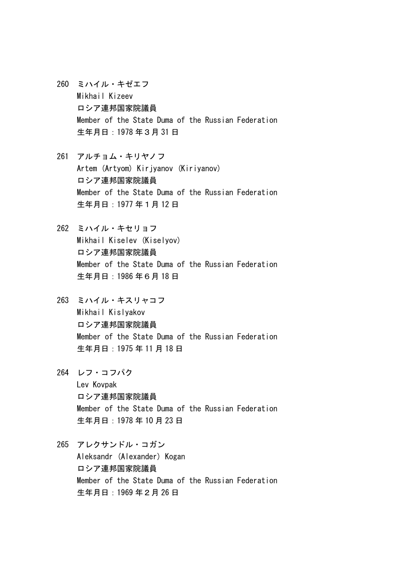- 260 ミハイル・キゼエフ Mikhail Kizeev ロシア連邦国家院議員 Member of the State Duma of the Russian Federation 生年月日:1978 年3月 31 日
- 261 アルチョム・キリヤノフ Artem (Artyom) Kirjyanov (Kiriyanov) ロシア連邦国家院議員 Member of the State Duma of the Russian Federation 生年月日:1977 年1月 12 日
- 262 ミハイル・キセリョフ Mikhail Kiselev (Kiselyov) ロシア連邦国家院議員 Member of the State Duma of the Russian Federation 生年月日:1986 年6月 18 日
- 263 ミハイル・キスリャコフ Mikhail Kislyakov ロシア連邦国家院議員 Member of the State Duma of the Russian Federation 生年月日:1975 年 11 月 18 日
- 264 レフ・コフパク Lev Kovpak ロシア連邦国家院議員 Member of the State Duma of the Russian Federation 生年月日:1978 年 10 月 23 日
- 265 アレクサンドル・コガン Aleksandr (Alexander) Kogan ロシア連邦国家院議員 Member of the State Duma of the Russian Federation 生年月日:1969 年2月 26 日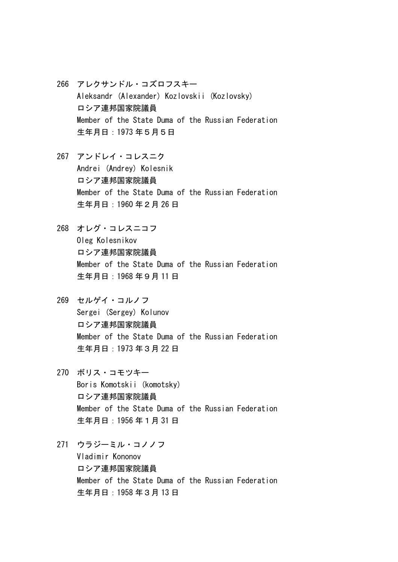- 266 アレクサンドル・コズロフスキー Aleksandr (Alexander) Kozlovskii (Kozlovsky) ロシア連邦国家院議員 Member of the State Duma of the Russian Federation 生年月日:1973 年5月5日
- 267 アンドレイ・コレスニク Andrei (Andrey) Kolesnik ロシア連邦国家院議員 Member of the State Duma of the Russian Federation 生年月日:1960 年2月 26 日
- 268 オレグ・コレスニコフ Oleg Kolesnikov ロシア連邦国家院議員 Member of the State Duma of the Russian Federation 生年月日:1968 年9月 11 日
- 269 セルゲイ・コルノフ Sergei (Sergey) Kolunov ロシア連邦国家院議員 Member of the State Duma of the Russian Federation 生年月日:1973 年3月 22 日
- 270 ボリス・コモツキー Boris Komotskii (komotsky) ロシア連邦国家院議員 Member of the State Duma of the Russian Federation 生年月日:1956 年1月 31 日
- 271 ウラジーミル・コノノフ Vladimir Kononov ロシア連邦国家院議員 Member of the State Duma of the Russian Federation 生年月日:1958 年3月 13 日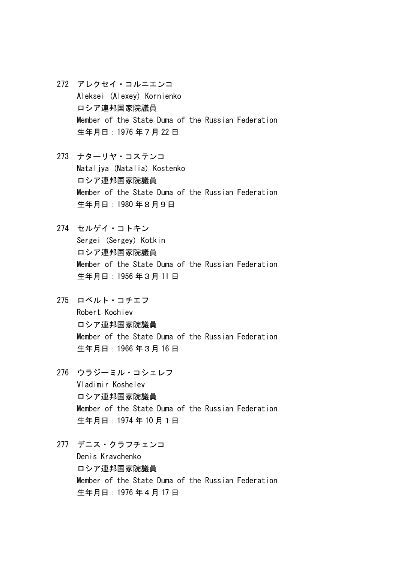- 272 アレクセイ・コルニエンコ Aleksei (Alexey) Kornienko ロシア連邦国家院議員 Member of the State Duma of the Russian Federation 生年月日:1976 年7月 22 日
- 273 ナターリヤ・コステンコ Nataljya (Natalia) Kostenko ロシア連邦国家院議員 Member of the State Duma of the Russian Federation 生年月日:1980 年8月9日
- 274 セルゲイ・コトキン Sergei (Sergey) Kotkin ロシア連邦国家院議員 Member of the State Duma of the Russian Federation 生年月日:1956 年3月 11 日
- 275 ロベルト・コチエフ Robert Kochiev ロシア連邦国家院議員 Member of the State Duma of the Russian Federation 生年月日:1966 年3月 16 日
- 276 ウラジーミル・コシェレフ Vladimir Koshelev ロシア連邦国家院議員 Member of the State Duma of the Russian Federation 生年月日:1974 年 10 月1日
- 277 デニス・クラフチェンコ Denis Kravchenko ロシア連邦国家院議員 Member of the State Duma of the Russian Federation 生年月日:1976 年4月 17 日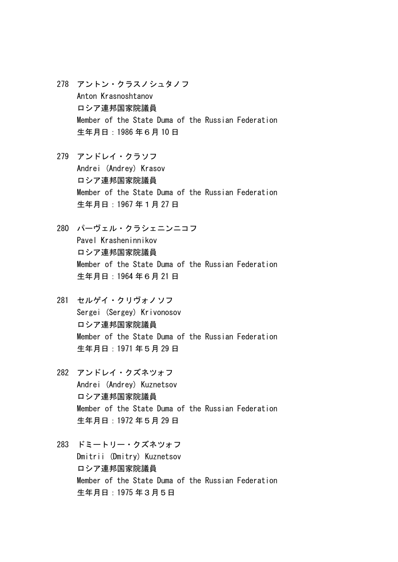- 278 アントン・クラスノシュタノフ Anton Krasnoshtanov ロシア連邦国家院議員 Member of the State Duma of the Russian Federation 生年月日:1986 年6月 10 日
- 279 アンドレイ・クラソフ Andrei (Andrey) Krasov ロシア連邦国家院議員 Member of the State Duma of the Russian Federation 生年月日:1967 年1月 27 日
- 280 パーヴェル・クラシェニンニコフ Pavel Krasheninnikov ロシア連邦国家院議員 Member of the State Duma of the Russian Federation 生年月日:1964 年6月 21 日
- 281 セルゲイ・クリヴォノソフ Sergei (Sergey) Krivonosov ロシア連邦国家院議員 Member of the State Duma of the Russian Federation 生年月日:1971 年5月 29 日
- 282 アンドレイ・クズネツォフ Andrei (Andrey) Kuznetsov ロシア連邦国家院議員 Member of the State Duma of the Russian Federation 生年月日:1972 年5月 29 日
- 283 ドミートリー・クズネツォフ Dmitrii (Dmitry) Kuznetsov ロシア連邦国家院議員 Member of the State Duma of the Russian Federation 生年月日:1975 年3月5日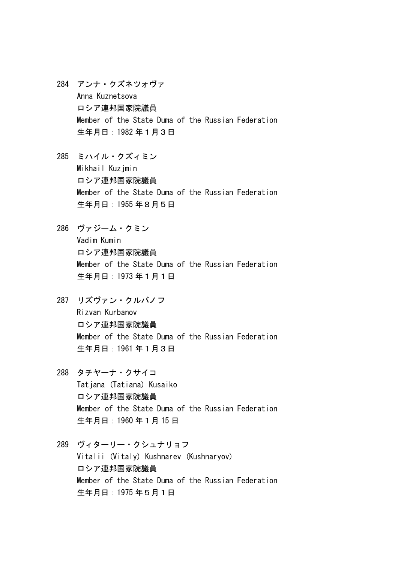- 284 アンナ・クズネツォヴァ Anna Kuznetsova ロシア連邦国家院議員 Member of the State Duma of the Russian Federation 生年月日:1982 年1月3日
- 285 ミハイル・クズィミン Mikhail Kuzjmin ロシア連邦国家院議員 Member of the State Duma of the Russian Federation 生年月日:1955 年8月5日
- 286 ヴァジーム・クミン Vadim Kumin ロシア連邦国家院議員 Member of the State Duma of the Russian Federation 生年月日:1973 年1月1日
- 287 リズヴァン・クルバノフ Rizvan Kurbanov ロシア連邦国家院議員 Member of the State Duma of the Russian Federation 生年月日:1961 年1月3日
- 288 タチヤーナ・クサイコ Tatiana (Tatiana) Kusaiko ロシア連邦国家院議員 Member of the State Duma of the Russian Federation 生年月日:1960 年1月 15 日
- 289 ヴィターリー・クシュナリョフ Vitalii (Vitaly) Kushnarev (Kushnaryov) ロシア連邦国家院議員 Member of the State Duma of the Russian Federation 生年月日:1975 年5月1日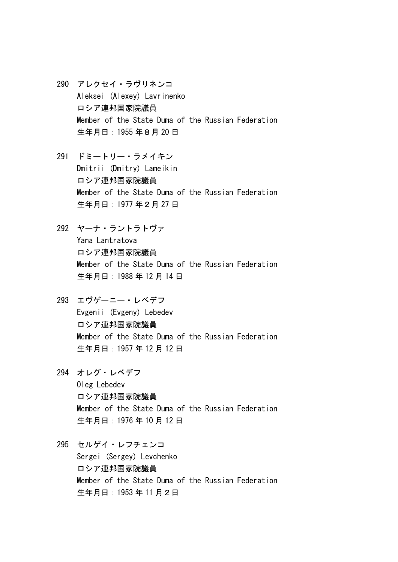- 290 アレクセイ・ラヴリネンコ Aleksei (Alexey) Lavrinenko ロシア連邦国家院議員 Member of the State Duma of the Russian Federation 生年月日:1955 年8月 20 日
- 291 ドミートリー・ラメイキン Dmitrii (Dmitry) Lameikin ロシア連邦国家院議員 Member of the State Duma of the Russian Federation 生年月日:1977 年2月 27 日
- 292 ヤーナ・ラントラトヴァ Yana Lantratova ロシア連邦国家院議員 Member of the State Duma of the Russian Federation 生年月日:1988 年 12 月 14 日
- 293 エヴゲーニー・レベデフ Evgenii (Evgeny) Lebedev ロシア連邦国家院議員 Member of the State Duma of the Russian Federation 生年月日:1957 年 12 月 12 日
- 294 オレグ・レベデフ Oleg Lebedev ロシア連邦国家院議員 Member of the State Duma of the Russian Federation 生年月日:1976 年 10 月 12 日
- 295 セルゲイ・レフチェンコ Sergei (Sergey) Levchenko ロシア連邦国家院議員 Member of the State Duma of the Russian Federation 生年月日:1953 年 11 月2日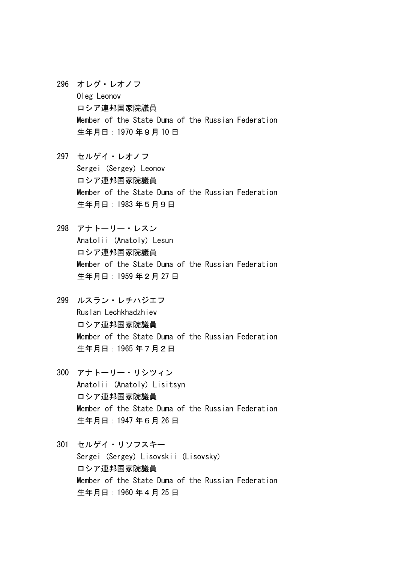296 オレグ・レオノフ Oleg Leonov ロシア連邦国家院議員 Member of the State Duma of the Russian Federation 生年月日:1970 年9月 10 日

297 セルゲイ・レオノフ Sergei (Sergey) Leonov ロシア連邦国家院議員 Member of the State Duma of the Russian Federation 生年月日:1983 年5月9日

298 アナトーリー・レスン Anatolii (Anatoly) Lesun ロシア連邦国家院議員 Member of the State Duma of the Russian Federation 生年月日:1959 年2月 27 日

299 ルスラン・レチハジエフ Ruslan Lechkhadzhiev ロシア連邦国家院議員 Member of the State Duma of the Russian Federation 生年月日:1965 年7月2日

- 300 アナトーリー・リシツィン Anatolii (Anatoly) Lisitsyn ロシア連邦国家院議員 Member of the State Duma of the Russian Federation 生年月日:1947 年6月 26 日
- 301 セルゲイ・リソフスキー Sergei (Sergey) Lisovskii (Lisovsky) ロシア連邦国家院議員 Member of the State Duma of the Russian Federation 生年月日:1960 年4月 25 日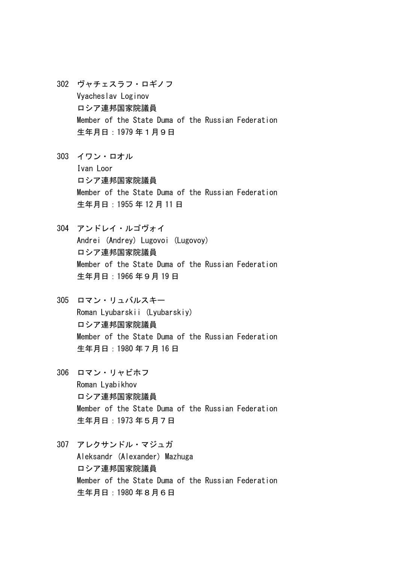- 302 ヴャチェスラフ・ロギノフ Vyacheslav Loginov ロシア連邦国家院議員 Member of the State Duma of the Russian Federation 生年月日:1979 年1月9日
- 303 イワン・ロオル Ivan Loor ロシア連邦国家院議員 Member of the State Duma of the Russian Federation 生年月日:1955 年 12 月 11 日
- 304 アンドレイ・ルゴヴォイ Andrei (Andrey) Lugovoi (Lugovoy) ロシア連邦国家院議員 Member of the State Duma of the Russian Federation 生年月日:1966 年9月 19 日
- 305 ロマン・リュバルスキー Roman Lyubarskii (Lyubarskiy) ロシア連邦国家院議員 Member of the State Duma of the Russian Federation 生年月日:1980 年7月 16 日
- 306 ロマン・リャビホフ Roman Lyabikhov ロシア連邦国家院議員 Member of the State Duma of the Russian Federation 生年月日:1973 年5月7日
- 307 アレクサンドル・マジュガ Aleksandr (Alexander) Mazhuga ロシア連邦国家院議員 Member of the State Duma of the Russian Federation 生年月日:1980 年8月6日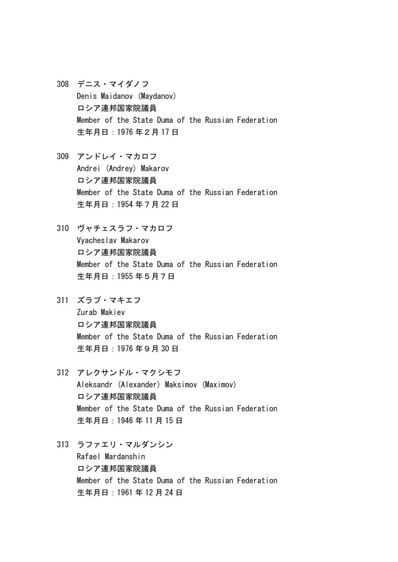- 308 デニス・マイダノフ Denis Maidanov (Maydanov) ロシア連邦国家院議員 Member of the State Duma of the Russian Federation 生年月日:1976 年2月 17 日
- 309 アンドレイ・マカロフ Andrei (Andrey) Makarov ロシア連邦国家院議員 Member of the State Duma of the Russian Federation 生年月日:1954 年7月 22 日
- 310 ヴャチェスラフ・マカロフ Vyacheslav Makarov ロシア連邦国家院議員 Member of the State Duma of the Russian Federation 生年月日:1955 年5月7日
- 311 ズラプ・マキエフ Zurab Makiev ロシア連邦国家院議員 Member of the State Duma of the Russian Federation 生年月日:1976 年9月 30 日
- 312 アレクサンドル・マクシモフ Aleksandr (Alexander) Maksimov (Maximov) ロシア連邦国家院議員 Member of the State Duma of the Russian Federation 生年月日:1946 年 11 月 15 日
- 313 ラファエリ・マルダンシン Rafael Mardanshin ロシア連邦国家院議員 Member of the State Duma of the Russian Federation 生年月日:1961 年 12 月 24 日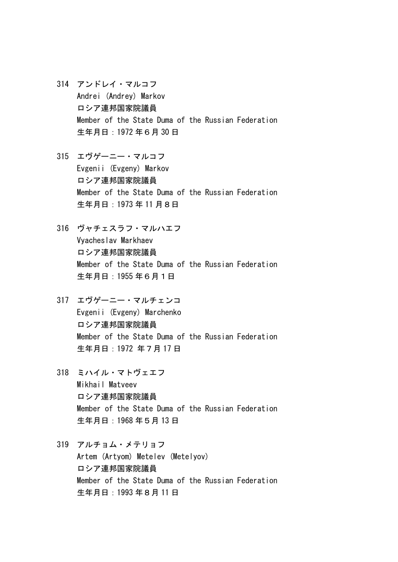- 314 アンドレイ・マルコフ Andrei (Andrey) Markov ロシア連邦国家院議員 Member of the State Duma of the Russian Federation 生年月日:1972 年6月 30 日
- 315 エヴゲーニー・マルコフ Evgenii (Evgeny) Markov ロシア連邦国家院議員 Member of the State Duma of the Russian Federation 生年月日:1973 年 11 月8日
- 316 ヴャチェスラフ・マルハエフ Vyacheslav Markhaev ロシア連邦国家院議員 Member of the State Duma of the Russian Federation 生年月日:1955 年6月1日
- 317 エヴゲーニー・マルチェンコ Evgenii (Evgeny) Marchenko ロシア連邦国家院議員 Member of the State Duma of the Russian Federation 生年月日:1972 年7月 17 日
- 318 ミハイル・マトヴェエフ Mikhail Matveev ロシア連邦国家院議員 Member of the State Duma of the Russian Federation 生年月日:1968 年5月 13 日
- 319 アルチョム・メテリョフ Artem (Artyom) Metelev (Metelyov) ロシア連邦国家院議員 Member of the State Duma of the Russian Federation 生年月日:1993 年8月 11 日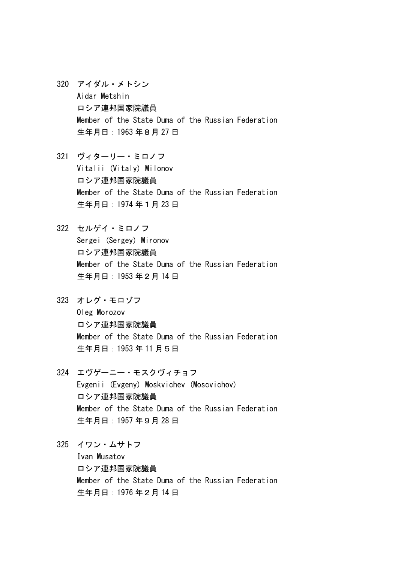- 320 アイダル・メトシン Aidar Metshin ロシア連邦国家院議員 Member of the State Duma of the Russian Federation 生年月日:1963 年8月 27 日
- 321 ヴィターリー・ミロノフ Vitalii (Vitaly) Milonov ロシア連邦国家院議員 Member of the State Duma of the Russian Federation 生年月日:1974 年1月 23 日
- 322 セルゲイ・ミロノフ Sergei (Sergey) Mironov ロシア連邦国家院議員 Member of the State Duma of the Russian Federation 生年月日:1953 年2月 14 日
- 323 オレグ・モロゾフ Oleg Morozov ロシア連邦国家院議員 Member of the State Duma of the Russian Federation 生年月日:1953 年 11 月5日
- 324 エヴゲーニー・モスクヴィチョフ Evgenii (Evgeny) Moskvichev (Moscvichov) ロシア連邦国家院議員 Member of the State Duma of the Russian Federation 生年月日:1957 年9月 28 日
- 325 イワン・ムサトフ Ivan Musatov ロシア連邦国家院議員 Member of the State Duma of the Russian Federation 生年月日:1976 年2月 14 日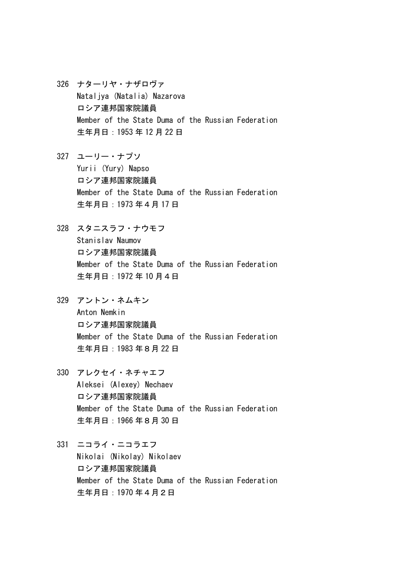- 326 ナターリヤ・ナザロヴァ Nataljya (Natalia) Nazarova ロシア連邦国家院議員 Member of the State Duma of the Russian Federation 生年月日:1953 年 12 月 22 日
- 327 ユーリー・ナプソ Yurii (Yury) Napso ロシア連邦国家院議員 Member of the State Duma of the Russian Federation 生年月日:1973 年4月 17 日
- 328 スタニスラフ・ナウモフ Stanislav Naumov ロシア連邦国家院議員 Member of the State Duma of the Russian Federation 生年月日:1972 年 10 月4日
- 329 アントン・ネムキン Anton Nemkin ロシア連邦国家院議員 Member of the State Duma of the Russian Federation 生年月日:1983 年8月 22 日
- 330 アレクセイ・ネチャエフ Aleksei (Alexey) Nechaev ロシア連邦国家院議員 Member of the State Duma of the Russian Federation 生年月日:1966 年8月 30 日
- 331 ニコライ・ニコラエフ Nikolai (Nikolay) Nikolaev ロシア連邦国家院議員 Member of the State Duma of the Russian Federation 生年月日:1970 年4月2日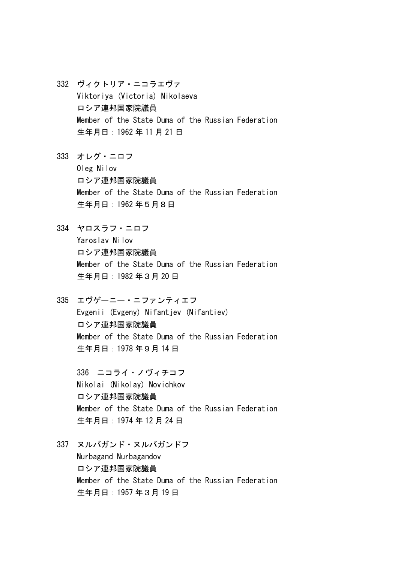- 332 ヴィクトリア・ニコラエヴァ Viktoriya (Victoria) Nikolaeva ロシア連邦国家院議員 Member of the State Duma of the Russian Federation 生年月日:1962 年 11 月 21 日
- 333 オレグ・ニロフ Oleg Nilov ロシア連邦国家院議員 Member of the State Duma of the Russian Federation 生年月日:1962 年5月8日
- 334 ヤロスラフ・ニロフ Yaroslav Nilov ロシア連邦国家院議員 Member of the State Duma of the Russian Federation 生年月日:1982 年3月 20 日
- 335 エヴゲーニー・ニファンティエフ Evgenii (Evgeny) Nifantiev (Nifantiev) ロシア連邦国家院議員 Member of the State Duma of the Russian Federation 生年月日:1978 年9月 14 日

336 ニコライ・ノヴィチコフ Nikolai (Nikolay) Novichkov ロシア連邦国家院議員 Member of the State Duma of the Russian Federation 生年月日:1974 年 12 月 24 日

337 ヌルバガンド・ヌルバガンドフ

Nurbagand Nurbagandov ロシア連邦国家院議員 Member of the State Duma of the Russian Federation 生年月日:1957 年3月 19 日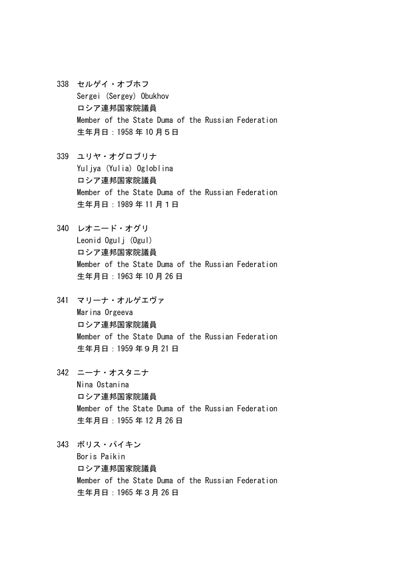- 338 セルゲイ・オブホフ Sergei (Sergey) Obukhov ロシア連邦国家院議員 Member of the State Duma of the Russian Federation 生年月日:1958 年 10 月5日
- 339 ユリヤ・オグロブリナ Yuljya (Yulia) Ogloblina ロシア連邦国家院議員 Member of the State Duma of the Russian Federation 生年月日:1989 年 11 月1日
- 340 レオニード・オグリ Leonid Ogulj (Ogul) ロシア連邦国家院議員 Member of the State Duma of the Russian Federation 生年月日:1963 年 10 月 26 日
- 341 マリーナ・オルゲエヴァ Marina Orgeeva ロシア連邦国家院議員 Member of the State Duma of the Russian Federation 生年月日:1959 年9月 21 日
- 342 ニーナ・オスタニナ Nina Ostanina ロシア連邦国家院議員 Member of the State Duma of the Russian Federation 生年月日:1955 年 12 月 26 日
- 343 ボリス・パイキン Boris Paikin ロシア連邦国家院議員 Member of the State Duma of the Russian Federation 生年月日:1965 年3月 26 日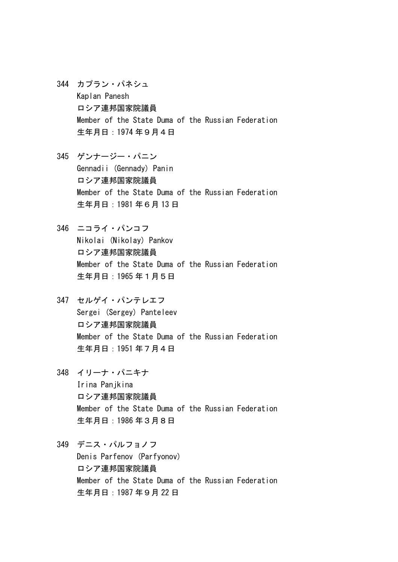- 344 カプラン・パネシュ Kaplan Panesh ロシア連邦国家院議員 Member of the State Duma of the Russian Federation 生年月日:1974 年9月4日
- 345 ゲンナージー・パニン Gennadii (Gennady) Panin ロシア連邦国家院議員 Member of the State Duma of the Russian Federation 生年月日:1981 年6月 13 日
- 346 ニコライ・パンコフ Nikolai (Nikolay) Pankov ロシア連邦国家院議員 Member of the State Duma of the Russian Federation 生年月日:1965 年1月5日
- 347 セルゲイ・パンテレエフ Sergei (Sergey) Panteleev ロシア連邦国家院議員 Member of the State Duma of the Russian Federation 生年月日:1951 年7月4日
- 348 イリーナ・パニキナ Irina Panjkina ロシア連邦国家院議員 Member of the State Duma of the Russian Federation 生年月日:1986 年3月8日
- 349 デニス・パルフョノフ Denis Parfenov (Parfyonov) ロシア連邦国家院議員 Member of the State Duma of the Russian Federation 生年月日:1987 年9月 22 日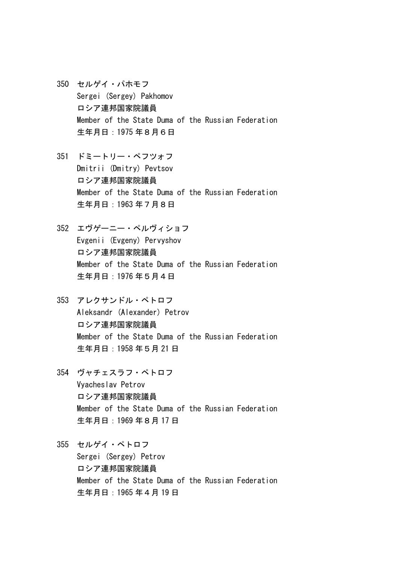- 350 セルゲイ・パホモフ Sergei (Sergey) Pakhomov ロシア連邦国家院議員 Member of the State Duma of the Russian Federation 生年月日:1975 年8月6日
- 351 ドミートリー・ペフツォフ Dmitrii (Dmitry) Pevtsov ロシア連邦国家院議員 Member of the State Duma of the Russian Federation 生年月日:1963 年7月8日
- 352 エヴゲーニー・ペルヴィショフ Evgenii (Evgeny) Pervyshov ロシア連邦国家院議員 Member of the State Duma of the Russian Federation 生年月日:1976 年5月4日
- 353 アレクサンドル・ペトロフ Aleksandr (Alexander) Petrov ロシア連邦国家院議員 Member of the State Duma of the Russian Federation 生年月日:1958 年5月 21 日
- 354 ヴャチェスラフ・ペトロフ Vyacheslav Petrov ロシア連邦国家院議員 Member of the State Duma of the Russian Federation 生年月日:1969 年8月 17 日
- 355 セルゲイ・ペトロフ Sergei (Sergey) Petrov ロシア連邦国家院議員 Member of the State Duma of the Russian Federation 生年月日:1965 年4月 19 日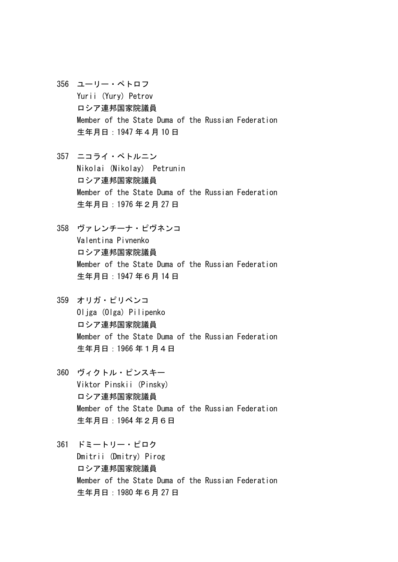- 356 ユーリー・ペトロフ Yurii (Yury) Petrov ロシア連邦国家院議員 Member of the State Duma of the Russian Federation 生年月日:1947 年4月 10 日
- 357 ニコライ・ペトルニン Nikolai (Nikolay) Petrunin ロシア連邦国家院議員 Member of the State Duma of the Russian Federation 生年月日:1976 年2月 27 日
- 358 ヴァレンチーナ・ピヴネンコ Valentina Pivnenko ロシア連邦国家院議員 Member of the State Duma of the Russian Federation 生年月日:1947 年6月 14 日
- 359 オリガ・ピリペンコ Oljga (Olga) Pilipenko ロシア連邦国家院議員 Member of the State Duma of the Russian Federation 生年月日:1966 年1月4日
- 360 ヴィクトル・ピンスキー Viktor Pinskii (Pinsky) ロシア連邦国家院議員 Member of the State Duma of the Russian Federation 生年月日:1964 年2月6日
- 361 ドミートリー・ピロク Dmitrii (Dmitry) Pirog ロシア連邦国家院議員 Member of the State Duma of the Russian Federation 生年月日:1980 年6月 27 日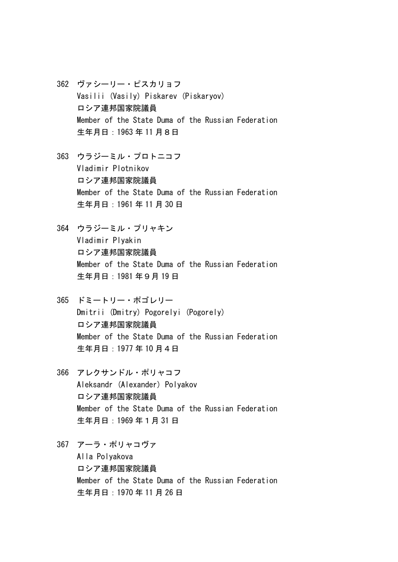- 362 ヴァシーリー・ピスカリョフ Vasilii (Vasily) Piskarev (Piskaryov) ロシア連邦国家院議員 Member of the State Duma of the Russian Federation 生年月日:1963 年 11 月8日
- 363 ウラジーミル・プロトニコフ Vladimir Plotnikov ロシア連邦国家院議員 Member of the State Duma of the Russian Federation 生年月日:1961 年 11 月 30 日
- 364 ウラジーミル・プリャキン Vladimir Plyakin ロシア連邦国家院議員 Member of the State Duma of the Russian Federation 生年月日:1981 年9月 19 日
- 365 ドミートリー・ポゴレリー Dmitrii (Dmitry) Pogorelyi (Pogorely) ロシア連邦国家院議員 Member of the State Duma of the Russian Federation 生年月日:1977 年 10 月4日
- 366 アレクサンドル・ポリャコフ Aleksandr (Alexander) Polyakov ロシア連邦国家院議員 Member of the State Duma of the Russian Federation 生年月日:1969 年1月 31 日
- 367 アーラ・ポリャコヴァ Alla Polyakova ロシア連邦国家院議員 Member of the State Duma of the Russian Federation 生年月日:1970 年 11 月 26 日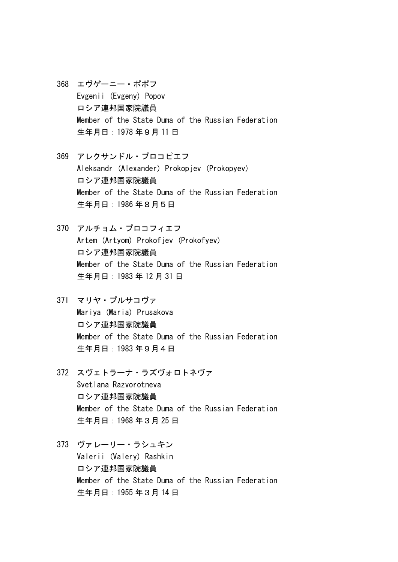- 368 エヴゲーニー・ポポフ Evgenii (Evgeny) Popov ロシア連邦国家院議員 Member of the State Duma of the Russian Federation 生年月日:1978 年9月 11 日
- 369 アレクサンドル・プロコピエフ Aleksandr (Alexander) Prokopjev (Prokopyev) ロシア連邦国家院議員 Member of the State Duma of the Russian Federation 生年月日:1986 年8月5日
- 370 アルチョム・プロコフィエフ Artem (Artyom) Prokofjev (Prokofyev) ロシア連邦国家院議員 Member of the State Duma of the Russian Federation 生年月日:1983 年 12 月 31 日
- 371 マリヤ・プルサコヴァ Mariya (Maria) Prusakova ロシア連邦国家院議員 Member of the State Duma of the Russian Federation 生年月日:1983 年9月4日
- 372 スヴェトラーナ・ラズヴォロトネヴァ Svetlana Razvorotneva ロシア連邦国家院議員 Member of the State Duma of the Russian Federation 生年月日:1968 年3月 25 日
- 373 ヴァレーリー・ラシュキン Valerii (Valery) Rashkin ロシア連邦国家院議員 Member of the State Duma of the Russian Federation 生年月日:1955 年3月 14 日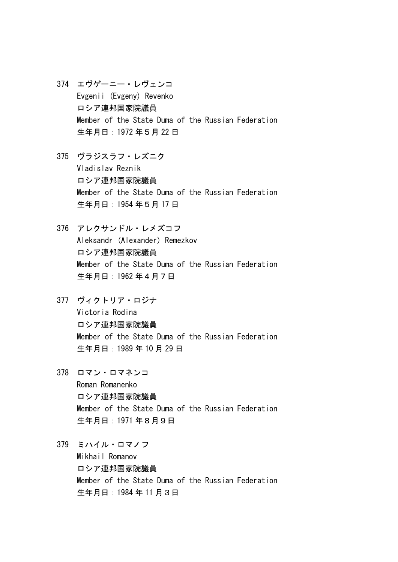- 374 エヴゲーニー・レヴェンコ Evgenii (Evgeny) Revenko ロシア連邦国家院議員 Member of the State Duma of the Russian Federation 生年月日:1972 年5月 22 日
- 375 ヴラジスラフ・レズニク Vladislav Reznik ロシア連邦国家院議員 Member of the State Duma of the Russian Federation 生年月日:1954 年5月 17 日
- 376 アレクサンドル・レメズコフ Aleksandr (Alexander) Remezkov ロシア連邦国家院議員 Member of the State Duma of the Russian Federation 生年月日:1962 年4月7日
- 377 ヴィクトリア・ロジナ Victoria Rodina ロシア連邦国家院議員 Member of the State Duma of the Russian Federation 生年月日:1989 年 10 月 29 日
- 378 ロマン・ロマネンコ Roman Romanenko ロシア連邦国家院議員 Member of the State Duma of the Russian Federation 生年月日:1971 年8月9日
- 379 ミハイル・ロマノフ Mikhail Romanov ロシア連邦国家院議員 Member of the State Duma of the Russian Federation 生年月日:1984 年 11 月3日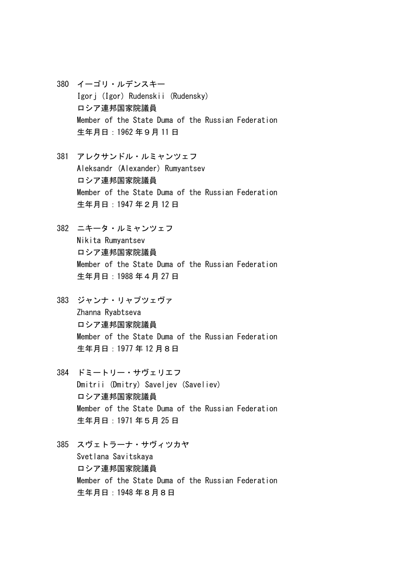- 380 イーゴリ・ルデンスキー Igorj (Igor) Rudenskii (Rudensky) ロシア連邦国家院議員 Member of the State Duma of the Russian Federation 生年月日:1962 年9月 11 日
- 381 アレクサンドル・ルミャンツェフ Aleksandr (Alexander) Rumyantsev ロシア連邦国家院議員 Member of the State Duma of the Russian Federation 生年月日:1947 年2月 12 日
- 382 ニキータ・ルミャンツェフ Nikita Rumyantsev ロシア連邦国家院議員 Member of the State Duma of the Russian Federation 生年月日:1988 年4月 27 日
- 383 ジャンナ・リャプツェヴァ Zhanna Ryabtseva ロシア連邦国家院議員 Member of the State Duma of the Russian Federation 生年月日:1977 年 12 月8日
- 384 ドミートリー・サヴェリエフ Dmitrii (Dmitry) Saveliev (Saveliev) ロシア連邦国家院議員 Member of the State Duma of the Russian Federation 生年月日:1971 年5月 25 日
- 385 スヴェトラーナ・サヴィツカヤ Svetlana Savitskaya ロシア連邦国家院議員 Member of the State Duma of the Russian Federation 生年月日:1948 年8月8日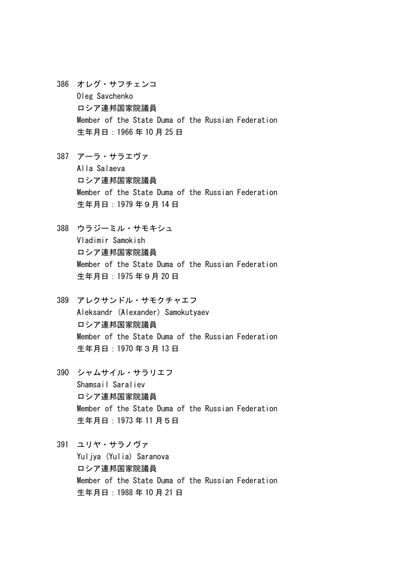- 386 オレグ・サフチェンコ Oleg Savchenko ロシア連邦国家院議員 Member of the State Duma of the Russian Federation 生年月日:1966 年 10 月 25 日
- 387 アーラ・サラエヴァ Alla Salaeva ロシア連邦国家院議員 Member of the State Duma of the Russian Federation 生年月日:1979 年9月 14 日
- 388 ウラジーミル・サモキシュ Vladimir Samokish ロシア連邦国家院議員 Member of the State Duma of the Russian Federation 生年月日:1975 年9月 20 日
- 389 アレクサンドル・サモクチャエフ Aleksandr (Alexander) Samokutyaev ロシア連邦国家院議員 Member of the State Duma of the Russian Federation 生年月日:1970 年3月 13 日
- 390 シャムサイル・サラリエフ Shamsail Saraliev ロシア連邦国家院議員 Member of the State Duma of the Russian Federation 生年月日:1973 年 11 月5日
- 391 ユリヤ・サラノヴァ Yuliya (Yulia) Saranova ロシア連邦国家院議員 Member of the State Duma of the Russian Federation 生年月日:1988 年 10 月 21 日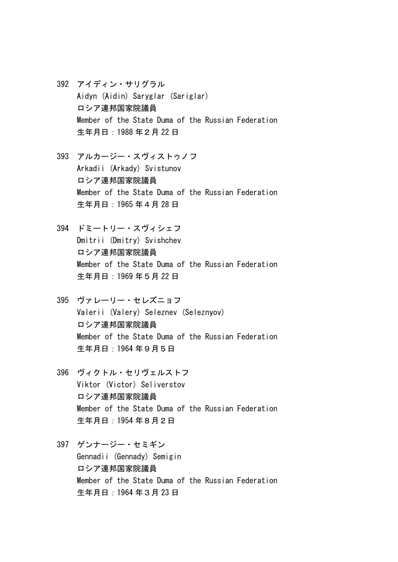- 392 アイディン・サリグラル Aidyn (Aidin) Saryglar (Sariglar) ロシア連邦国家院議員 Member of the State Duma of the Russian Federation 生年月日:1988 年2月 22 日
- 393 アルカージー・スヴィストゥノフ Arkadii (Arkady) Svistunov ロシア連邦国家院議員 Member of the State Duma of the Russian Federation 生年月日:1965 年4月 28 日
- 394 ドミートリー・スヴィシェフ Dmitrii (Dmitry) Svishchev ロシア連邦国家院議員 Member of the State Duma of the Russian Federation 生年月日:1969 年5月 22 日
- 395 ヴァレーリー・セレズニョフ Valerii (Valery) Seleznev (Seleznyov) ロシア連邦国家院議員 Member of the State Duma of the Russian Federation 生年月日:1964 年9月5日
- 396 ヴィクトル・セリヴェルストフ Viktor (Victor) Seliverstov ロシア連邦国家院議員 Member of the State Duma of the Russian Federation 生年月日:1954 年8月2日
- 397 ゲンナージー・セミギン Gennadii (Gennady) Semigin ロシア連邦国家院議員 Member of the State Duma of the Russian Federation 生年月日:1964 年3月 23 日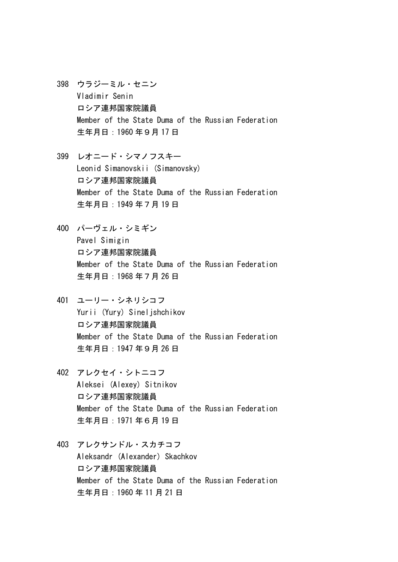- 398 ウラジーミル・セニン Vladimir Senin ロシア連邦国家院議員 Member of the State Duma of the Russian Federation 生年月日:1960 年9月 17 日
- 399 レオニード・シマノフスキー Leonid Simanovskii (Simanovsky) ロシア連邦国家院議員 Member of the State Duma of the Russian Federation 生年月日:1949 年7月 19 日
- 400 パーヴェル・シミギン Pavel Simigin ロシア連邦国家院議員 Member of the State Duma of the Russian Federation 生年月日:1968 年7月 26 日
- 401 ユーリー・シネリシコフ Yurii (Yury) Sineljshchikov ロシア連邦国家院議員 Member of the State Duma of the Russian Federation 生年月日:1947 年9月 26 日
- 402 アレクセイ・シトニコフ Aleksei (Alexey) Sitnikov ロシア連邦国家院議員 Member of the State Duma of the Russian Federation 生年月日:1971 年6月 19 日
- 403 アレクサンドル・スカチコフ Aleksandr (Alexander) Skachkov ロシア連邦国家院議員 Member of the State Duma of the Russian Federation 生年月日:1960 年 11 月 21 日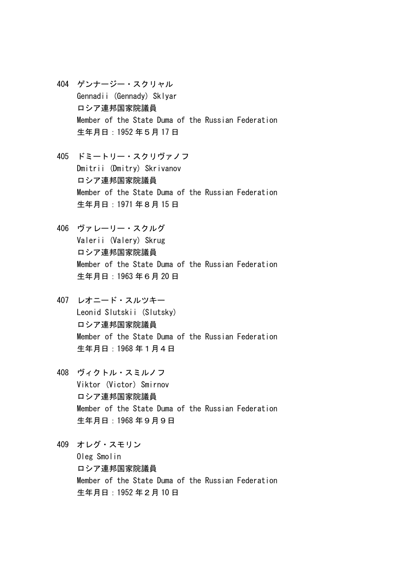404 ゲンナージー・スクリャル Gennadii (Gennady) Sklyar ロシア連邦国家院議員 Member of the State Duma of the Russian Federation 生年月日:1952 年5月 17 日

405 ドミートリー・スクリヴァノフ Dmitrii (Dmitry) Skrivanov ロシア連邦国家院議員 Member of the State Duma of the Russian Federation 生年月日:1971 年8月 15 日

406 ヴァレーリー・スクルグ Valerii (Valery) Skrug ロシア連邦国家院議員 Member of the State Duma of the Russian Federation 生年月日:1963 年6月 20 日

- 407 レオニード・スルツキー Leonid Slutskii (Slutsky) ロシア連邦国家院議員 Member of the State Duma of the Russian Federation 生年月日:1968 年1月4日
- 408 ヴィクトル・スミルノフ Viktor (Victor) Smirnov ロシア連邦国家院議員 Member of the State Duma of the Russian Federation 生年月日:1968 年9月9日

409 オレグ・スモリン Oleg Smolin ロシア連邦国家院議員 Member of the State Duma of the Russian Federation 生年月日:1952 年2月 10 日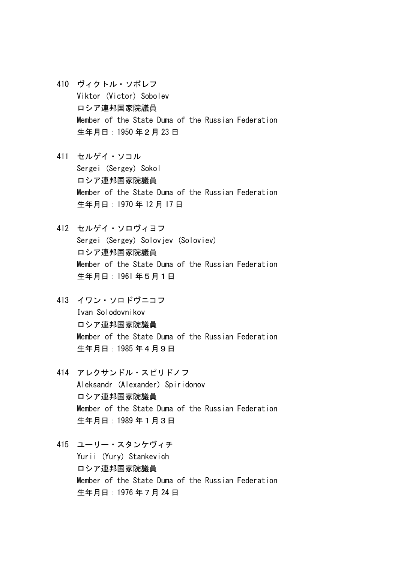- 410 ヴィクトル・ソボレフ Viktor (Victor) Sobolev ロシア連邦国家院議員 Member of the State Duma of the Russian Federation 生年月日:1950 年2月 23 日
- 411 セルゲイ・ソコル Sergei (Sergey) Sokol ロシア連邦国家院議員 Member of the State Duma of the Russian Federation 生年月日:1970 年 12 月 17 日
- 412 セルゲイ・ソロヴィヨフ Sergei (Sergey) Soloviev (Soloviev) ロシア連邦国家院議員 Member of the State Duma of the Russian Federation 生年月日:1961 年5月1日
- 413 イワン・ソロドヴニコフ Ivan Solodovnikov ロシア連邦国家院議員 Member of the State Duma of the Russian Federation 生年月日:1985 年4月9日
- 414 アレクサンドル・スピリドノフ Aleksandr (Alexander) Spiridonov ロシア連邦国家院議員 Member of the State Duma of the Russian Federation 生年月日:1989 年1月3日
- 415 ユーリー・スタンケヴィチ Yurii (Yury) Stankevich ロシア連邦国家院議員 Member of the State Duma of the Russian Federation 生年月日:1976 年7月 24 日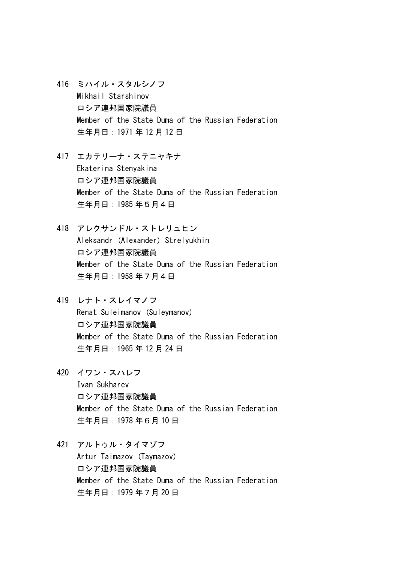- 416 ミハイル・スタルシノフ Mikhail Starshinov ロシア連邦国家院議員 Member of the State Duma of the Russian Federation 生年月日:1971 年 12 月 12 日
- 417 エカテリーナ・ステニャキナ Ekaterina Stenyakina ロシア連邦国家院議員 Member of the State Duma of the Russian Federation 生年月日:1985 年5月4日
- 418 アレクサンドル・ストレリュヒン Aleksandr (Alexander) Strelyukhin ロシア連邦国家院議員 Member of the State Duma of the Russian Federation 生年月日:1958 年7月4日
- 419 レナト・スレイマノフ Renat Suleimanov (Suleymanov) ロシア連邦国家院議員 Member of the State Duma of the Russian Federation 生年月日:1965 年 12 月 24 日
- 420 イワン・スハレフ Ivan Sukharev ロシア連邦国家院議員 Member of the State Duma of the Russian Federation 生年月日:1978 年6月 10 日
- 421 アルトゥル・タイマゾフ Artur Taimazov (Taymazov) ロシア連邦国家院議員 Member of the State Duma of the Russian Federation 生年月日:1979 年7月 20 日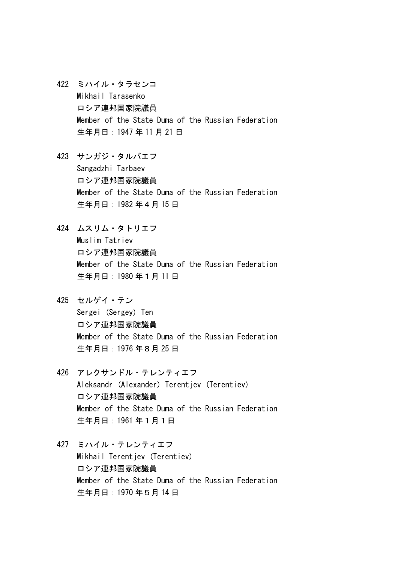- 422 ミハイル・タラセンコ Mikhail Tarasenko ロシア連邦国家院議員 Member of the State Duma of the Russian Federation 生年月日:1947 年 11 月 21 日
- 423 サンガジ・タルバエフ Sangadzhi Tarbaev ロシア連邦国家院議員 Member of the State Duma of the Russian Federation 生年月日:1982 年4月 15 日
- 424 ムスリム・タトリエフ Muslim Tatriev ロシア連邦国家院議員 Member of the State Duma of the Russian Federation 生年月日:1980 年1月 11 日
- 425 セルゲイ・テン Sergei (Sergey) Ten ロシア連邦国家院議員 Member of the State Duma of the Russian Federation 生年月日:1976 年8月 25 日
- 426 アレクサンドル・テレンティエフ Aleksandr (Alexander) Terentiev (Terentiev) ロシア連邦国家院議員 Member of the State Duma of the Russian Federation 生年月日:1961 年1月1日
- 427 ミハイル・テレンティエフ Mikhail Terentjev (Terentiev) ロシア連邦国家院議員 Member of the State Duma of the Russian Federation 生年月日:1970 年5月 14 日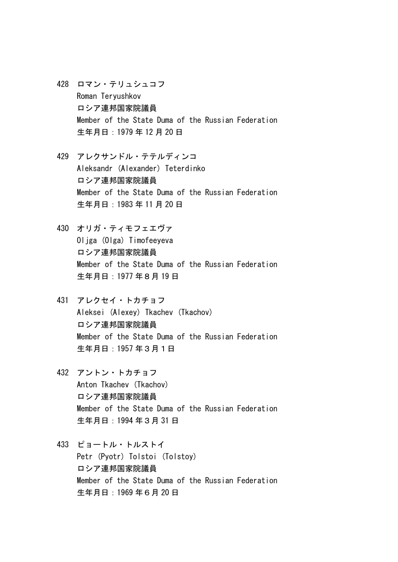- 428 ロマン・テリュシュコフ Roman Teryushkov ロシア連邦国家院議員 Member of the State Duma of the Russian Federation 生年月日:1979 年 12 月 20 日
- 429 アレクサンドル・テテルディンコ Aleksandr (Alexander) Teterdinko ロシア連邦国家院議員 Member of the State Duma of the Russian Federation 生年月日:1983 年 11 月 20 日
- 430 オリガ・ティモフェエヴァ Oliga (Olga) Timofeeyeva ロシア連邦国家院議員 Member of the State Duma of the Russian Federation 生年月日:1977 年8月 19 日
- 431 アレクセイ・トカチョフ Aleksei (Alexey) Tkachev (Tkachov) ロシア連邦国家院議員 Member of the State Duma of the Russian Federation 生年月日:1957 年3月1日
- 432 アントン・トカチョフ Anton Tkachev (Tkachov) ロシア連邦国家院議員 Member of the State Duma of the Russian Federation 生年月日:1994 年3月 31 日
- 433 ピョートル・トルストイ Petr (Pyotr) Tolstoi (Tolstoy) ロシア連邦国家院議員 Member of the State Duma of the Russian Federation 生年月日:1969 年6月 20 日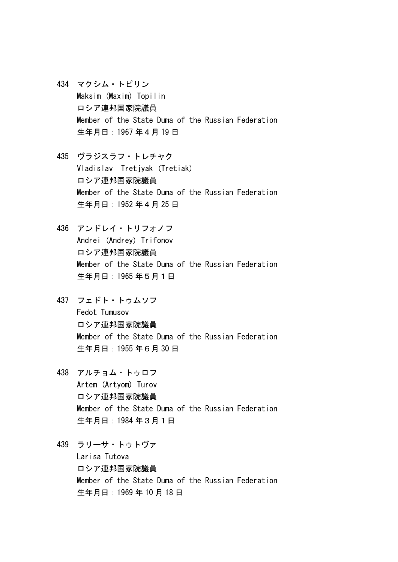- 434 マクシム・トピリン Maksim (Maxim) Topilin ロシア連邦国家院議員 Member of the State Duma of the Russian Federation 生年月日:1967 年4月 19 日
- 435 ヴラジスラフ・トレチャク Vladislav Tretjyak (Tretiak) ロシア連邦国家院議員 Member of the State Duma of the Russian Federation 生年月日:1952 年4月 25 日
- 436 アンドレイ・トリフォノフ Andrei (Andrey) Trifonov ロシア連邦国家院議員 Member of the State Duma of the Russian Federation 生年月日:1965 年5月1日
- 437 フェドト・トゥムソフ Fedot Tumusov ロシア連邦国家院議員 Member of the State Duma of the Russian Federation 生年月日:1955 年6月 30 日
- 438 アルチョム・トゥロフ Artem (Artyom) Turov ロシア連邦国家院議員 Member of the State Duma of the Russian Federation 生年月日:1984 年3月1日
- 439 ラリーサ・トゥトヴァ Larisa Tutova ロシア連邦国家院議員 Member of the State Duma of the Russian Federation 生年月日:1969 年 10 月 18 日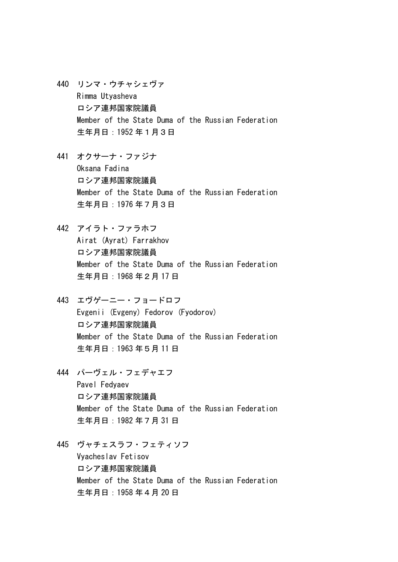- 440 リンマ・ウチャシェヴァ Rimma Utyasheva ロシア連邦国家院議員 Member of the State Duma of the Russian Federation 生年月日:1952 年1月3日
- 441 オクサーナ・ファジナ Oksana Fadina ロシア連邦国家院議員 Member of the State Duma of the Russian Federation 生年月日:1976 年7月3日
- 442 アイラト・ファラホフ Airat (Ayrat) Farrakhov ロシア連邦国家院議員 Member of the State Duma of the Russian Federation 生年月日:1968 年2月 17 日
- 443 エヴゲーニー・フョードロフ Evgenii (Evgeny) Fedorov (Fyodorov) ロシア連邦国家院議員 Member of the State Duma of the Russian Federation 生年月日:1963 年5月 11 日
- 444 パーヴェル・フェデャエフ Pavel Fedyaev ロシア連邦国家院議員 Member of the State Duma of the Russian Federation 生年月日:1982 年7月 31 日
- 445 ヴャチェスラフ・フェティソフ Vyacheslav Fetisov ロシア連邦国家院議員 Member of the State Duma of the Russian Federation 生年月日:1958 年4月 20 日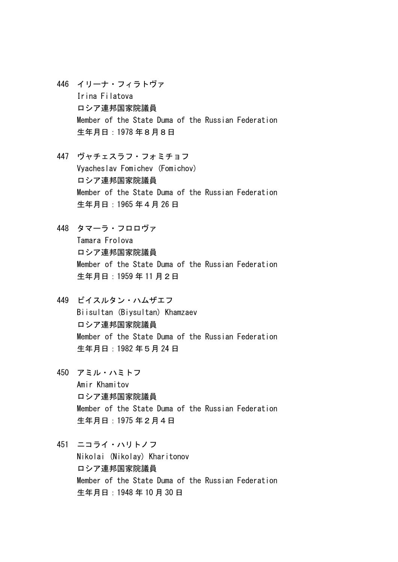- 446 イリーナ・フィラトヴァ Irina Filatova ロシア連邦国家院議員 Member of the State Duma of the Russian Federation 生年月日:1978 年8月8日
- 447 ヴャチェスラフ・フォミチョフ Vyacheslav Fomichev (Fomichov) ロシア連邦国家院議員 Member of the State Duma of the Russian Federation 生年月日:1965 年4月 26 日
- 448 タマーラ・フロロヴァ Tamara Frolova ロシア連邦国家院議員 Member of the State Duma of the Russian Federation 生年月日:1959 年 11 月2日
- 449 ビイスルタン・ハムザエフ Biisultan (Biysultan) Khamzaev ロシア連邦国家院議員 Member of the State Duma of the Russian Federation 生年月日:1982 年5月 24 日
- 450 アミル・ハミトフ Amir Khamitov ロシア連邦国家院議員 Member of the State Duma of the Russian Federation 生年月日:1975 年2月4日
- 451 ニコライ・ハリトノフ Nikolai (Nikolay) Kharitonov ロシア連邦国家院議員 Member of the State Duma of the Russian Federation 生年月日:1948 年 10 月 30 日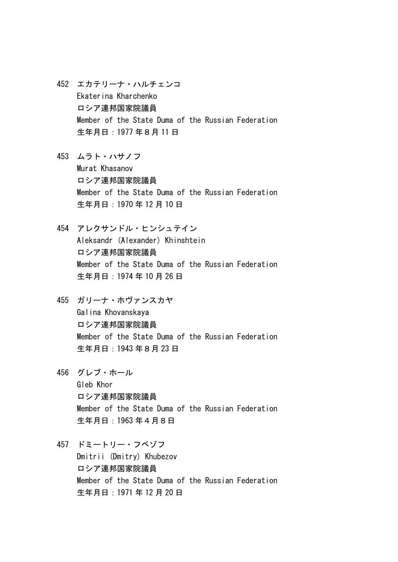- 452 エカテリーナ・ハルチェンコ Ekaterina Kharchenko ロシア連邦国家院議員 Member of the State Duma of the Russian Federation 生年月日:1977 年8月 11 日
- 453 ムラト・ハサノフ Murat Khasanov ロシア連邦国家院議員 Member of the State Duma of the Russian Federation 生年月日:1970 年 12 月 10 日
- 454 アレクサンドル・ヒンシュテイン Aleksandr (Alexander) Khinshtein ロシア連邦国家院議員 Member of the State Duma of the Russian Federation 生年月日:1974 年 10 月 26 日
- 455 ガリーナ・ホヴァンスカヤ Galina Khovanskaya ロシア連邦国家院議員 Member of the State Duma of the Russian Federation 生年月日:1943 年8月 23 日
- 456 グレブ・ホール Gleb Khor ロシア連邦国家院議員 Member of the State Duma of the Russian Federation 生年月日:1963 年4月8日
- 457 ドミートリー・フベゾフ Dmitrii (Dmitry) Khubezov ロシア連邦国家院議員 Member of the State Duma of the Russian Federation 生年月日:1971 年 12 月 20 日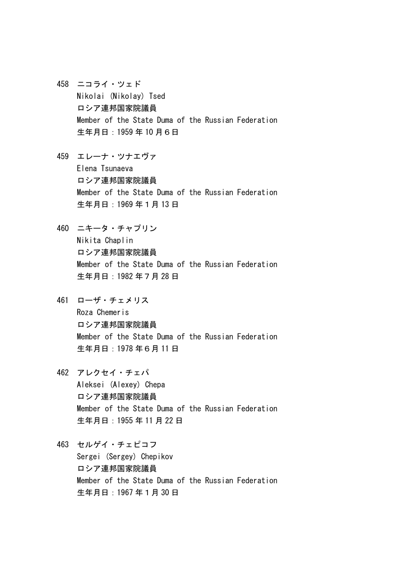- 458 ニコライ・ツェド Nikolai (Nikolay) Tsed ロシア連邦国家院議員 Member of the State Duma of the Russian Federation 生年月日:1959 年 10 月6日
- 459 エレーナ・ツナエヴァ Elena Tsunaeva ロシア連邦国家院議員 Member of the State Duma of the Russian Federation 生年月日:1969 年1月 13 日
- 460 ニキータ・チャプリン Nikita Chaplin ロシア連邦国家院議員 Member of the State Duma of the Russian Federation 生年月日:1982 年7月 28 日
- 461 ローザ・チェメリス Roza Chemeris ロシア連邦国家院議員 Member of the State Duma of the Russian Federation 生年月日:1978 年6月 11 日
- 462 アレクセイ・チェパ Aleksei (Alexey) Chepa ロシア連邦国家院議員 Member of the State Duma of the Russian Federation 生年月日:1955 年 11 月 22 日
- 463 セルゲイ・チェピコフ Sergei (Sergey) Chepikov ロシア連邦国家院議員 Member of the State Duma of the Russian Federation 生年月日:1967 年1月 30 日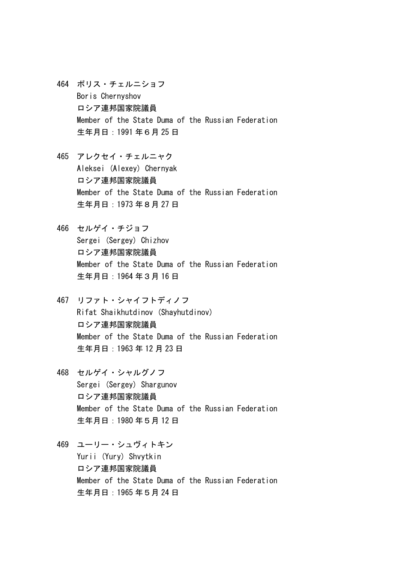- 464 ボリス・チェルニショフ Boris Chernyshov ロシア連邦国家院議員 Member of the State Duma of the Russian Federation 生年月日:1991 年6月 25 日
- 465 アレクセイ・チェルニャク Aleksei (Alexey) Chernyak ロシア連邦国家院議員 Member of the State Duma of the Russian Federation 生年月日:1973 年8月 27 日
- 466 セルゲイ・チジョフ Sergei (Sergey) Chizhov ロシア連邦国家院議員 Member of the State Duma of the Russian Federation 生年月日:1964 年3月 16 日
- 467 リファト・シャイフトディノフ Rifat Shaikhutdinov (Shayhutdinov) ロシア連邦国家院議員 Member of the State Duma of the Russian Federation 生年月日:1963 年 12 月 23 日
- 468 セルゲイ・シャルグノフ Sergei (Sergey) Shargunov ロシア連邦国家院議員 Member of the State Duma of the Russian Federation 生年月日:1980 年5月 12 日
- 469 ユーリー・シュヴィトキン Yurii (Yury) Shvytkin ロシア連邦国家院議員 Member of the State Duma of the Russian Federation 生年月日:1965 年5月 24 日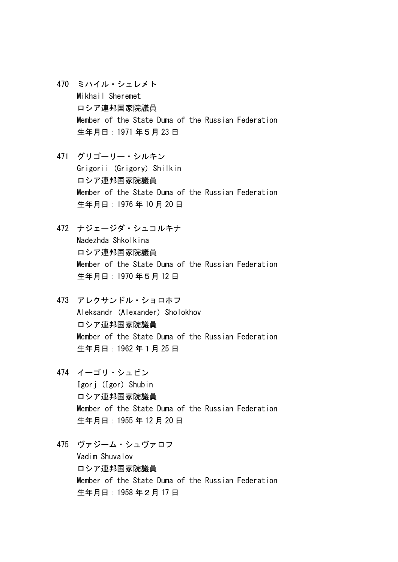- 470 ミハイル・シェレメト Mikhail Sheremet ロシア連邦国家院議員 Member of the State Duma of the Russian Federation 生年月日:1971 年5月 23 日
- 471 グリゴーリー・シルキン Grigorii (Grigory) Shilkin ロシア連邦国家院議員 Member of the State Duma of the Russian Federation 生年月日:1976 年 10 月 20 日
- 472 ナジェージダ・シュコルキナ Nadezhda Shkolkina ロシア連邦国家院議員 Member of the State Duma of the Russian Federation 生年月日:1970 年5月 12 日
- 473 アレクサンドル・ショロホフ Aleksandr (Alexander) Sholokhov ロシア連邦国家院議員 Member of the State Duma of the Russian Federation 生年月日:1962 年1月 25 日
- 474 イーゴリ・シュビン Igorj (Igor) Shubin ロシア連邦国家院議員 Member of the State Duma of the Russian Federation 生年月日:1955 年 12 月 20 日
- 475 ヴァジーム・シュヴァロフ Vadim Shuvalov ロシア連邦国家院議員 Member of the State Duma of the Russian Federation 生年月日:1958 年2月 17 日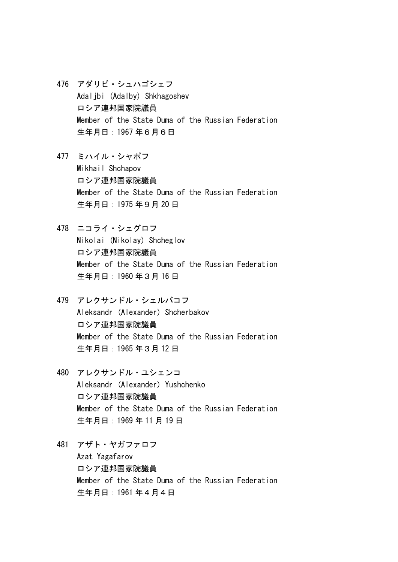- 476 アダリビ・シュハゴシェフ Adaljbi (Adalby) Shkhagoshev ロシア連邦国家院議員 Member of the State Duma of the Russian Federation 生年月日:1967 年6月6日
- 477 ミハイル・シャポフ Mikhail Shchapov ロシア連邦国家院議員 Member of the State Duma of the Russian Federation 生年月日:1975 年9月 20 日
- 478 ニコライ・シェグロフ Nikolai (Nikolay) Shcheglov ロシア連邦国家院議員 Member of the State Duma of the Russian Federation 生年月日:1960 年3月 16 日
- 479 アレクサンドル・シェルバコフ Aleksandr (Alexander) Shcherbakov ロシア連邦国家院議員 Member of the State Duma of the Russian Federation 生年月日:1965 年3月 12 日
- 480 アレクサンドル・ユシェンコ Aleksandr (Alexander) Yushchenko ロシア連邦国家院議員 Member of the State Duma of the Russian Federation 生年月日:1969 年 11 月 19 日
- 481 アザト・ヤガファロフ Azat Yagafarov ロシア連邦国家院議員 Member of the State Duma of the Russian Federation 生年月日:1961 年4月4日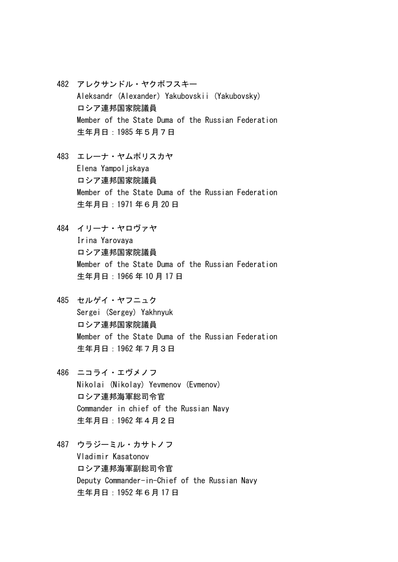- 482 アレクサンドル・ヤクボフスキー Aleksandr (Alexander) Yakubovskii (Yakubovsky) ロシア連邦国家院議員 Member of the State Duma of the Russian Federation 生年月日:1985 年5月7日
- 483 エレーナ・ヤムポリスカヤ Elena Yampoljskaya ロシア連邦国家院議員 Member of the State Duma of the Russian Federation 生年月日:1971 年6月 20 日
- 484 イリーナ・ヤロヴァヤ Irina Yarovaya ロシア連邦国家院議員 Member of the State Duma of the Russian Federation 生年月日:1966 年 10 月 17 日
- 485 セルゲイ・ヤフニュク Sergei (Sergey) Yakhnyuk ロシア連邦国家院議員 Member of the State Duma of the Russian Federation 生年月日:1962 年7月3日
- 486 ニコライ・エヴメノフ Nikolai (Nikolay) Yevmenov (Evmenov) ロシア連邦海軍総司令官 Commander in chief of the Russian Navy 生年月日:1962 年4月2日
- 487 ウラジーミル・カサトノフ Vladimir Kasatonov ロシア連邦海軍副総司令官 Deputy Commander-in-Chief of the Russian Navy 生年月日:1952 年6月 17 日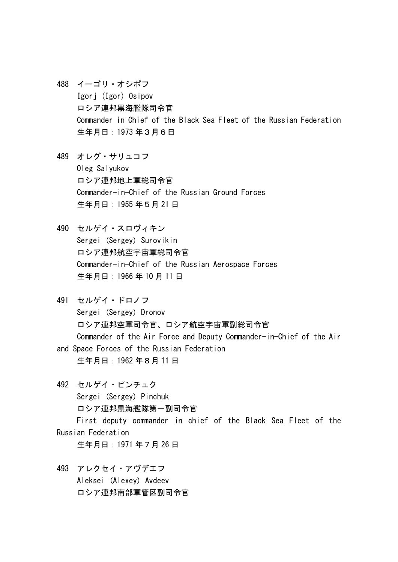- 488 イーゴリ・オシポフ Igorj (Igor) Osipov ロシア連邦黒海艦隊司令官 Commander in Chief of the Black Sea Fleet of the Russian Federation 生年月日:1973 年3月6日
- 489 オレグ・サリュコフ Oleg Salyukov ロシア連邦地上軍総司令官 Commander-in-Chief of the Russian Ground Forces 生年月日:1955 年5月 21 日
- 490 セルゲイ・スロヴィキン Sergei (Sergey) Surovikin ロシア連邦航空宇宙軍総司令官 Commander-in-Chief of the Russian Aerospace Forces 生年月日:1966 年 10 月 11 日
- 491 セルゲイ・ドロノフ Sergei (Sergey) Dronov ロシア連邦空軍司令官、ロシア航空宇宙軍副総司令官 Commander of the Air Force and Deputy Commander-in-Chief of the Air and Space Forces of the Russian Federation 生年月日:1962 年8月 11 日
- 492 セルゲイ・ピンチュク Sergei (Sergey) Pinchuk ロシア連邦黒海艦隊第一副司令官 First deputy commander in chief of the Black Sea Fleet of the Russian Federation

生年月日:1971 年7月 26 日

493 アレクセイ・アヴデエフ Aleksei (Alexey) Avdeev ロシア連邦南部軍管区副司令官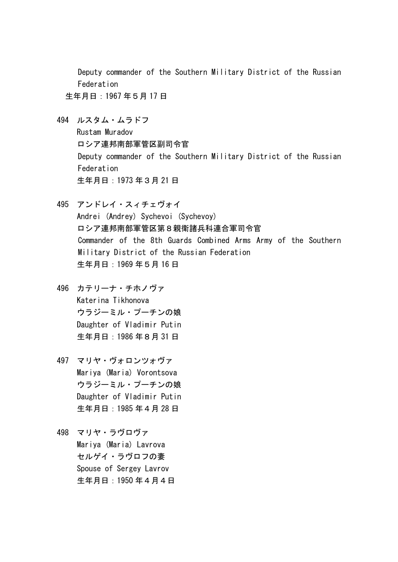Deputy commander of the Southern Military District of the Russian Federation

生年月日:1967 年5月 17 日

494 ルスタム・ムラドフ Rustam Muradov

ロシア連邦南部軍管区副司令官 Deputy commander of the Southern Military District of the Russian Federation 生年月日:1973 年3月 21 日

- 495 アンドレイ・スィチェヴォイ Andrei (Andrey) Sychevoi (Sychevoy) ロシア連邦南部軍管区第8親衛諸兵科連合軍司令官 Commander of the 8th Guards Combined Arms Army of the Southern Military District of the Russian Federation 生年月日:1969 年5月 16 日
- 496 カテリーナ・チホノヴァ Katerina Tikhonova ウラジーミル・プーチンの娘 Daughter of Vladimir Putin 生年月日:1986 年8月 31 日
- 497 マリヤ・ヴォロンツォヴァ Mariya (Maria) Vorontsova ウラジーミル・プーチンの娘 Daughter of Vladimir Putin 生年月日:1985 年4月 28 日
- 498 マリヤ・ラヴロヴァ Mariya (Maria) Lavrova セルゲイ・ラヴロフの妻 Spouse of Sergey Lavrov 生年月日:1950 年4月4日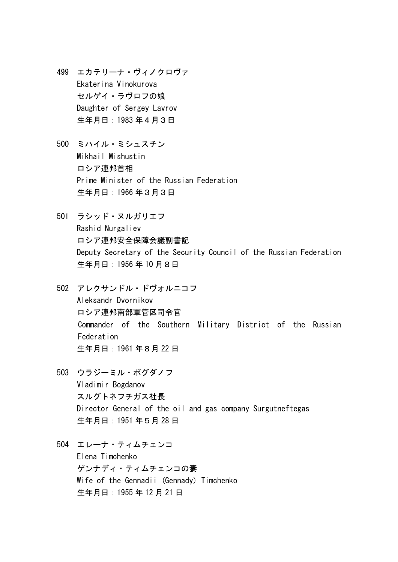- 499 エカテリーナ・ヴィノクロヴァ Ekaterina Vinokurova セルゲイ・ラヴロフの娘 Daughter of Sergey Lavrov 生年月日:1983 年4月3日
- 500 ミハイル・ミシュスチン Mikhail Mishustin ロシア連邦首相 Prime Minister of the Russian Federation 生年月日:1966 年3月3日
- 501 ラシッド・ヌルガリエフ Rashid Nurgaliev ロシア連邦安全保障会議副書記 Deputy Secretary of the Security Council of the Russian Federation 生年月日:1956 年 10 月8日
- 502 アレクサンドル・ドヴォルニコフ Aleksandr Dvornikov ロシア連邦南部軍管区司令官 Commander of the Southern Military District of the Russian Federation 生年月日:1961 年8月 22 日
- 503 ウラジーミル・ボグダノフ Vladimir Bogdanov スルグトネフチガス社長 Director General of the oil and gas company Surgutneftegas 生年月日:1951 年5月 28 日
- 504 エレーナ・ティムチェンコ Elena Timchenko ゲンナディ・ティムチェンコの妻 Wife of the Gennadii (Gennady) Timchenko 生年月日:1955 年 12 月 21 日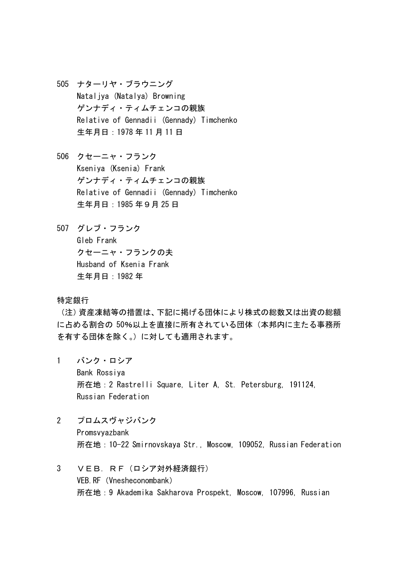- 505 ナターリヤ・ブラウニング Nataljya (Natalya) Browning ゲンナディ・ティムチェンコの親族 Relative of Gennadii (Gennady) Timchenko 生年月日:1978 年 11 月 11 日
- 506 クセーニャ・フランク Kseniya (Ksenia) Frank ゲンナディ・ティムチェンコの親族 Relative of Gennadii (Gennady) Timchenko 生年月日:1985 年9月 25 日
- 507 グレブ・フランク Gleb Frank クセーニャ・フランクの夫 Husband of Ksenia Frank 生年月日:1982 年

特定銀行

(注)資産凍結等の措置は、下記に掲げる団体により株式の総数又は出資の総額 に占める割合の 50%以上を直接に所有されている団体(本邦内に主たる事務所 を有する団体を除く。)に対しても適用されます。

- 1 バンク・ロシア Bank Rossiya 所在地:2 Rastrelli Square, Liter A, St. Petersburg, 191124, Russian Federation
- 2 プロムスヴャジバンク Promsvyazbank 所在地:10-22 Smirnovskaya Str., Moscow, 109052, Russian Federation
- 3 VEB.RF(ロシア対外経済銀行) VEB.RF(Vnesheconombank) 所在地:9 Akademika Sakharova Prospekt, Moscow, 107996, Russian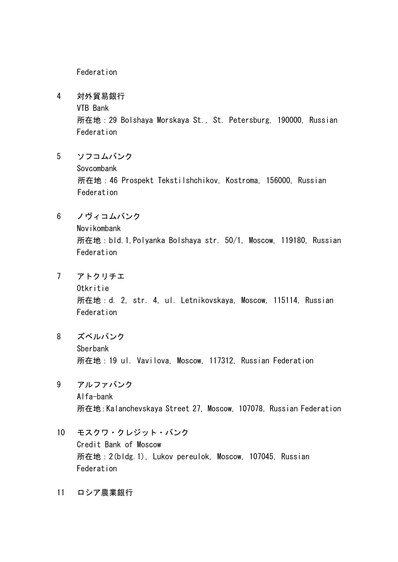Federation

4 対外貿易銀行

VTB Bank

 所在地:29 Bolshaya Morskaya St., St. Petersburg, 190000, Russian Federation

5 ソフコムバンク

Sovcombank

 所在地:46 Prospekt Tekstilshchikov, Kostroma, 156000, Russian Federation

6 ノヴィコムバンク

 Novikombank 所在地:bld.1,Polyanka Bolshaya str. 50/1, Moscow, 119180, Russian Federation

7 アトクリチエ

 Otkritie 所在地:d. 2, str. 4, ul. Letnikovskaya, Moscow, 115114, Russian Federation

- 8 ズベルバンク Sberbank 所在地:19 ul. Vavilova, Moscow, 117312, Russian Federation
- 9 アルファバンク Alfa-bank 所在地:Kalanchevskaya Street 27, Moscow, 107078, Russian Federation
- 10 モスクワ・クレジット・バンク Credit Bank of Moscow 所在地:2(bldg.1), Lukov pereulok, Moscow, 107045, Russian Federation
- 11 ロシア農業銀行